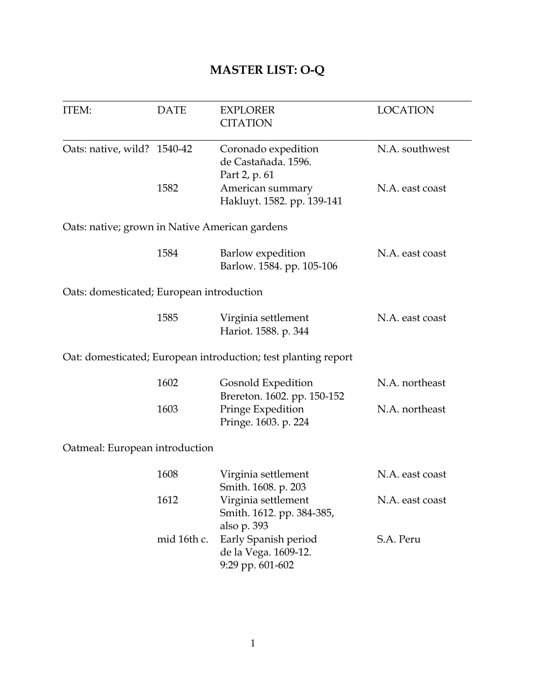# **MASTER LIST: O-Q**

| ITEM:                                          | <b>DATE</b> | <b>EXPLORER</b><br><b>CITATION</b>                             | <b>LOCATION</b> |
|------------------------------------------------|-------------|----------------------------------------------------------------|-----------------|
|                                                |             |                                                                |                 |
| Oats: native, wild? 1540-42                    |             | Coronado expedition                                            | N.A. southwest  |
|                                                |             | de Castañada. 1596.                                            |                 |
|                                                |             | Part 2, p. 61                                                  |                 |
|                                                | 1582        | American summary                                               | N.A. east coast |
|                                                |             | Hakluyt. 1582. pp. 139-141                                     |                 |
| Oats: native; grown in Native American gardens |             |                                                                |                 |
|                                                | 1584        | Barlow expedition                                              | N.A. east coast |
|                                                |             | Barlow. 1584. pp. 105-106                                      |                 |
| Oats: domesticated; European introduction      |             |                                                                |                 |
|                                                | 1585        |                                                                | N.A. east coast |
|                                                |             | Virginia settlement<br>Hariot. 1588. p. 344                    |                 |
|                                                |             |                                                                |                 |
|                                                |             | Oat: domesticated; European introduction; test planting report |                 |
|                                                | 1602        | Gosnold Expedition                                             | N.A. northeast  |
|                                                |             | Brereton. 1602. pp. 150-152                                    |                 |
|                                                | 1603        | Pringe Expedition                                              | N.A. northeast  |
|                                                |             | Pringe. 1603. p. 224                                           |                 |
| Oatmeal: European introduction                 |             |                                                                |                 |
|                                                | 1608        | Virginia settlement                                            | N.A. east coast |
|                                                |             | Smith. 1608. p. 203                                            |                 |
|                                                | 1612        | Virginia settlement                                            | N.A. east coast |
|                                                |             | Smith. 1612. pp. 384-385,                                      |                 |
|                                                |             | also p. 393                                                    |                 |
|                                                | mid 16th c. | Early Spanish period                                           | S.A. Peru       |
|                                                |             | de la Vega. 1609-12.                                           |                 |
|                                                |             | 9:29 pp. 601-602                                               |                 |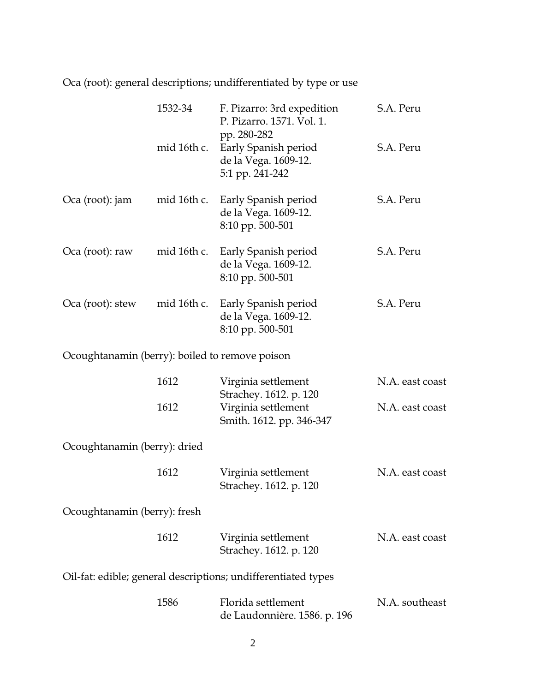Oca (root): general descriptions; undifferentiated by type or use

|                                                | 1532-34     | F. Pizarro: 3rd expedition<br>P. Pizarro. 1571. Vol. 1.                        | S.A. Peru       |
|------------------------------------------------|-------------|--------------------------------------------------------------------------------|-----------------|
|                                                | mid 16th c. | pp. 280-282<br>Early Spanish period<br>de la Vega. 1609-12.<br>5:1 pp. 241-242 | S.A. Peru       |
| Oca (root): jam                                | mid 16th c. | Early Spanish period<br>de la Vega. 1609-12.<br>8:10 pp. 500-501               | S.A. Peru       |
| Oca (root): raw                                | mid 16th c. | Early Spanish period<br>de la Vega. 1609-12.<br>8:10 pp. 500-501               | S.A. Peru       |
| Oca (root): stew                               | mid 16th c. | Early Spanish period<br>de la Vega. 1609-12.<br>8:10 pp. 500-501               | S.A. Peru       |
| Ocoughtanamin (berry): boiled to remove poison |             |                                                                                |                 |
|                                                | 1612        | Virginia settlement<br>Strachey. 1612. p. 120                                  | N.A. east coast |
|                                                | 1612        | Virginia settlement<br>Smith. 1612. pp. 346-347                                | N.A. east coast |
| Ocoughtanamin (berry): dried                   |             |                                                                                |                 |
|                                                | 1612        | Virginia settlement<br>Strachey. 1612. p. 120                                  | N.A. east coast |
| Ocoughtanamin (berry): fresh                   |             |                                                                                |                 |
|                                                | 1612        | Virginia settlement<br>Strachey. 1612. p. 120                                  | N.A. east coast |
|                                                |             | Oil-fat: edible; general descriptions; undifferentiated types                  |                 |
|                                                | 1586        | Florida settlement<br>de Laudonnière. 1586. p. 196                             | N.A. southeast  |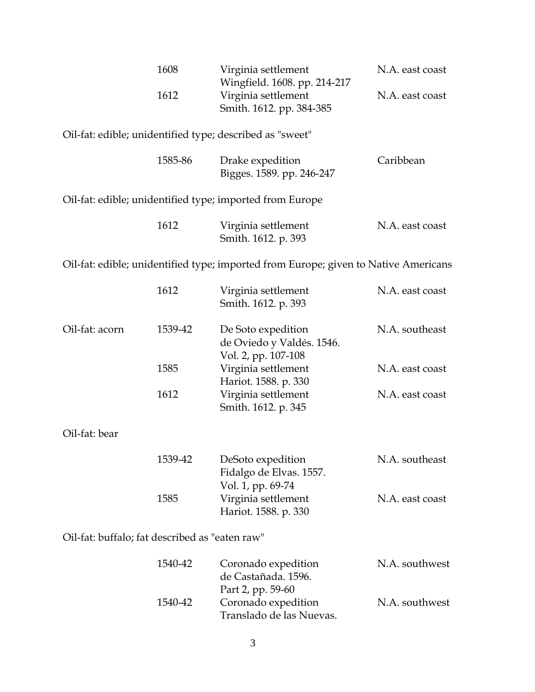| 1608 | Virginia settlement          | N.A. east coast |
|------|------------------------------|-----------------|
|      | Wingfield. 1608. pp. 214-217 |                 |
| 1612 | Virginia settlement          | N.A. east coast |
|      | Smith. 1612. pp. 384-385     |                 |

Oil-fat: edible; unidentified type; described as "sweet"

| 1585-86 | Drake expedition          | Caribbean |
|---------|---------------------------|-----------|
|         | Bigges. 1589. pp. 246-247 |           |

Oil-fat: edible; unidentified type; imported from Europe

| 1612 | Virginia settlement | N.A. east coast |
|------|---------------------|-----------------|
|      | Smith. 1612. p. 393 |                 |

Oil-fat: edible; unidentified type; imported from Europe; given to Native Americans

|                                                | 1612    | Virginia settlement<br>Smith. 1612. p. 393                             | N.A. east coast |
|------------------------------------------------|---------|------------------------------------------------------------------------|-----------------|
| Oil-fat: acorn                                 | 1539-42 | De Soto expedition<br>de Oviedo y Valdés. 1546.<br>Vol. 2, pp. 107-108 | N.A. southeast  |
|                                                | 1585    | Virginia settlement<br>Hariot. 1588. p. 330                            | N.A. east coast |
|                                                | 1612    | Virginia settlement<br>Smith. 1612. p. 345                             | N.A. east coast |
| Oil-fat: bear                                  |         |                                                                        |                 |
|                                                | 1539-42 | DeSoto expedition<br>Fidalgo de Elvas. 1557.<br>Vol. 1, pp. 69-74      | N.A. southeast  |
|                                                | 1585    | Virginia settlement<br>Hariot. 1588. p. 330                            | N.A. east coast |
| Oil-fat: buffalo; fat described as "eaten raw" |         |                                                                        |                 |

| 1540-42 | Coronado expedition      | N.A. southwest |
|---------|--------------------------|----------------|
|         | de Castañada. 1596.      |                |
|         | Part 2, pp. 59-60        |                |
| 1540-42 | Coronado expedition      | N.A. southwest |
|         | Translado de las Nuevas. |                |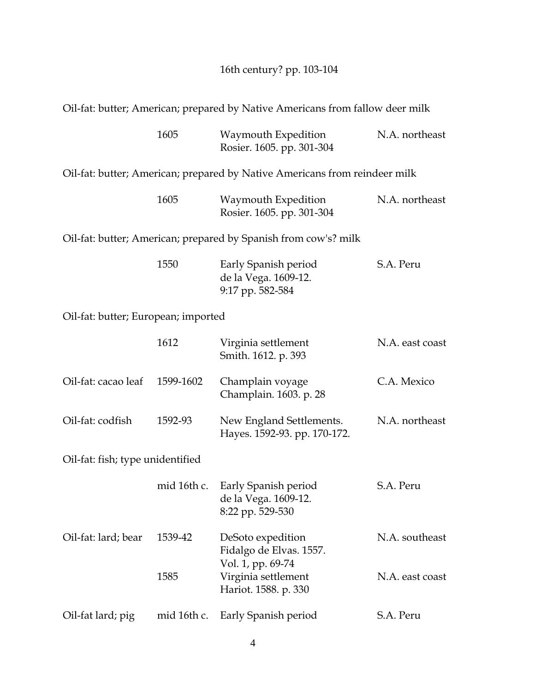16th century? pp. 103-104

Oil-fat: butter; American; prepared by Native Americans from fallow deer milk

|                                     | 1605        | Waymouth Expedition<br>Rosier. 1605. pp. 301-304                           | N.A. northeast  |
|-------------------------------------|-------------|----------------------------------------------------------------------------|-----------------|
|                                     |             | Oil-fat: butter; American; prepared by Native Americans from reindeer milk |                 |
|                                     | 1605        | Waymouth Expedition<br>Rosier. 1605. pp. 301-304                           | N.A. northeast  |
|                                     |             | Oil-fat: butter; American; prepared by Spanish from cow's? milk            |                 |
|                                     | 1550        | Early Spanish period<br>de la Vega. 1609-12.<br>9:17 pp. 582-584           | S.A. Peru       |
| Oil-fat: butter; European; imported |             |                                                                            |                 |
|                                     | 1612        | Virginia settlement<br>Smith. 1612. p. 393                                 | N.A. east coast |
| Oil-fat: cacao leaf                 | 1599-1602   | Champlain voyage<br>Champlain. 1603. p. 28                                 | C.A. Mexico     |
| Oil-fat: codfish                    | 1592-93     | New England Settlements.<br>Hayes. 1592-93. pp. 170-172.                   | N.A. northeast  |
| Oil-fat: fish; type unidentified    |             |                                                                            |                 |
|                                     | mid 16th c. | Early Spanish period<br>de la Vega. 1609-12.<br>8:22 pp. 529-530           | S.A. Peru       |
| Oil-fat: lard; bear                 | 1539-42     | DeSoto expedition<br>Fidalgo de Elvas. 1557.<br>Vol. 1, pp. 69-74          | N.A. southeast  |
|                                     | 1585        | Virginia settlement<br>Hariot. 1588. p. 330                                | N.A. east coast |
| Oil-fat lard; pig                   | mid 16th c. | Early Spanish period                                                       | S.A. Peru       |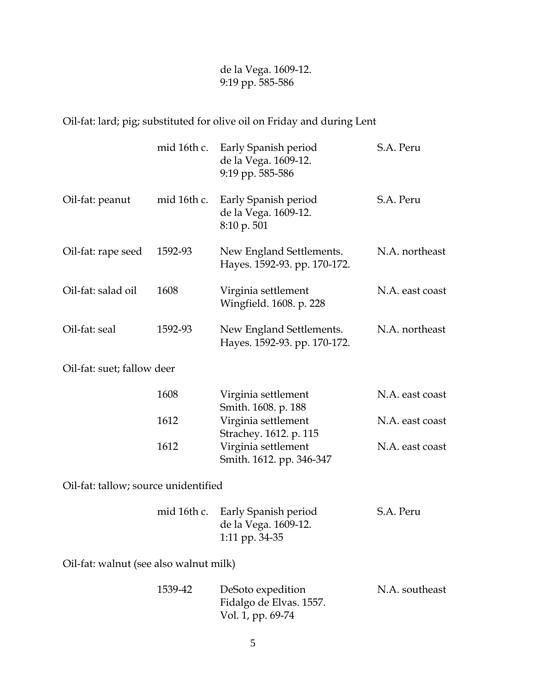de la Vega. 1609-12. 9:19 pp. 585-586

Oil-fat: lard; pig; substituted for olive oil on Friday and during Lent

|                                        | mid 16th c. | Early Spanish period<br>de la Vega. 1609-12.<br>9:19 pp. 585-586          | S.A. Peru       |
|----------------------------------------|-------------|---------------------------------------------------------------------------|-----------------|
| Oil-fat: peanut                        | mid 16th c. | Early Spanish period<br>de la Vega. 1609-12.<br>8:10 p. 501               | S.A. Peru       |
| Oil-fat: rape seed                     | 1592-93     | New England Settlements.<br>Hayes. 1592-93. pp. 170-172.                  | N.A. northeast  |
| Oil-fat: salad oil                     | 1608        | Virginia settlement<br>Wingfield. 1608. p. 228                            | N.A. east coast |
| Oil-fat: seal                          | 1592-93     | New England Settlements.<br>Hayes. 1592-93. pp. 170-172.                  | N.A. northeast  |
| Oil-fat: suet; fallow deer             |             |                                                                           |                 |
|                                        | 1608        | Virginia settlement<br>Smith. 1608. p. 188                                | N.A. east coast |
|                                        | 1612        | Virginia settlement                                                       | N.A. east coast |
|                                        | 1612        | Strachey. 1612. p. 115<br>Virginia settlement<br>Smith. 1612. pp. 346-347 | N.A. east coast |
| Oil-fat: tallow; source unidentified   |             |                                                                           |                 |
|                                        | mid 16th c. | Early Spanish period<br>de la Vega. 1609-12.<br>1:11 pp. 34-35            | S.A. Peru       |
| Oil-fat: walnut (see also walnut milk) |             |                                                                           |                 |
|                                        | 1539-42     | DeSoto expedition<br>Fidalgo de Elvas. 1557.<br>Vol. 1, pp. 69-74         | N.A. southeast  |

5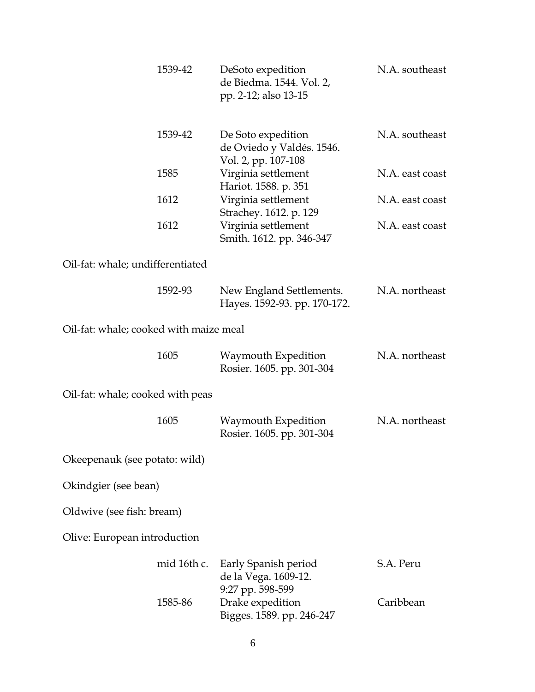|                                        | 1539-42     | DeSoto expedition<br>de Biedma. 1544. Vol. 2,<br>pp. 2-12; also 13-15  | N.A. southeast  |
|----------------------------------------|-------------|------------------------------------------------------------------------|-----------------|
|                                        | 1539-42     | De Soto expedition<br>de Oviedo y Valdés. 1546.<br>Vol. 2, pp. 107-108 | N.A. southeast  |
|                                        | 1585        | Virginia settlement<br>Hariot. 1588. p. 351                            | N.A. east coast |
|                                        | 1612        | Virginia settlement<br>Strachey. 1612. p. 129                          | N.A. east coast |
|                                        | 1612        | Virginia settlement<br>Smith. 1612. pp. 346-347                        | N.A. east coast |
| Oil-fat: whale; undifferentiated       |             |                                                                        |                 |
|                                        | 1592-93     | New England Settlements.<br>Hayes. 1592-93. pp. 170-172.               | N.A. northeast  |
| Oil-fat: whale; cooked with maize meal |             |                                                                        |                 |
|                                        | 1605        | Waymouth Expedition<br>Rosier. 1605. pp. 301-304                       | N.A. northeast  |
| Oil-fat: whale; cooked with peas       |             |                                                                        |                 |
|                                        | 1605        | Waymouth Expedition<br>Rosier. 1605. pp. 301-304                       | N.A. northeast  |
| Okeepenauk (see potato: wild)          |             |                                                                        |                 |
| Okindgier (see bean)                   |             |                                                                        |                 |
| Oldwive (see fish: bream)              |             |                                                                        |                 |
| Olive: European introduction           |             |                                                                        |                 |
|                                        | mid 16th c. | Early Spanish period<br>de la Vega. 1609-12.<br>9:27 pp. 598-599       | S.A. Peru       |
|                                        | 1585-86     | Drake expedition<br>Bigges. 1589. pp. 246-247                          | Caribbean       |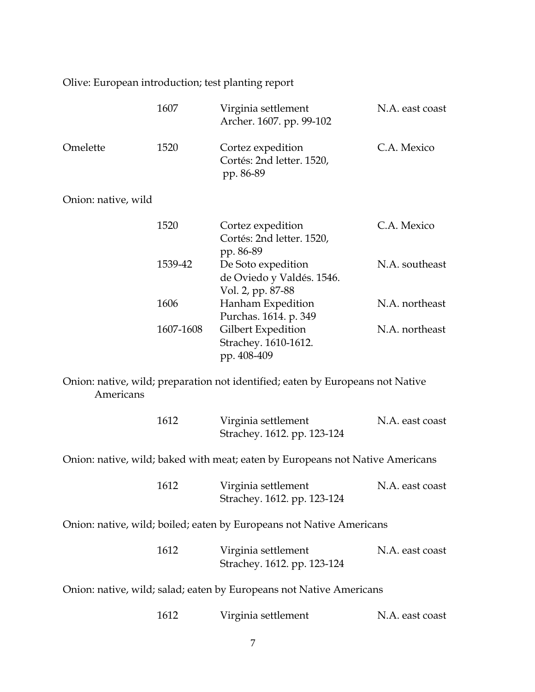Olive: European introduction; test planting report

|                     | 1607      | Virginia settlement<br>Archer. 1607. pp. 99-102                                | N.A. east coast |
|---------------------|-----------|--------------------------------------------------------------------------------|-----------------|
| Omelette            | 1520      | Cortez expedition<br>Cortés: 2nd letter. 1520,<br>pp. 86-89                    | C.A. Mexico     |
| Onion: native, wild |           |                                                                                |                 |
|                     | 1520      | Cortez expedition<br>Cortés: 2nd letter. 1520,<br>pp. 86-89                    | C.A. Mexico     |
|                     | 1539-42   | De Soto expedition<br>de Oviedo y Valdés. 1546.<br>Vol. 2, pp. 87-88           | N.A. southeast  |
|                     | 1606      | Hanham Expedition<br>Purchas. 1614. p. 349                                     | N.A. northeast  |
|                     | 1607-1608 | Gilbert Expedition<br>Strachey. 1610-1612.<br>pp. 408-409                      | N.A. northeast  |
| Americans           |           | Onion: native, wild; preparation not identified; eaten by Europeans not Native |                 |
|                     | 1612      | Virginia settlement<br>Strachey. 1612. pp. 123-124                             | N.A. east coast |
|                     |           | Onion: native, wild; baked with meat; eaten by Europeans not Native Americans  |                 |
|                     | 1612      | Virginia settlement<br>Strachey. 1612. pp. 123-124                             | N.A. east coast |
|                     |           | Onion: native, wild; boiled; eaten by Europeans not Native Americans           |                 |
|                     | 1612      | Virginia settlement<br>Strachey. 1612. pp. 123-124                             | N.A. east coast |
|                     |           | Onion: native, wild; salad; eaten by Europeans not Native Americans            |                 |
|                     | 1612      | Virginia settlement                                                            | N.A. east coast |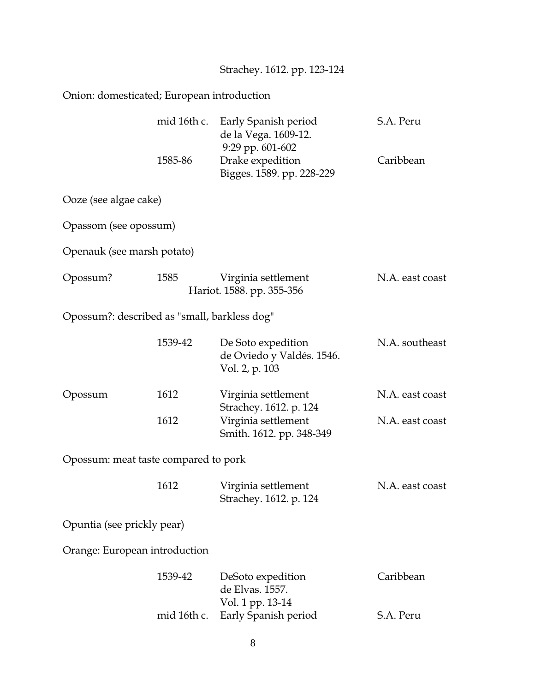| Strachey. 1612. pp. 123-124 |  |  |
|-----------------------------|--|--|
|                             |  |  |

## Onion: domesticated; European introduction

|                                              | mid 16th c.<br>1585-86 | Early Spanish period<br>de la Vega. 1609-12.<br>9:29 pp. 601-602<br>Drake expedition | S.A. Peru<br>Caribbean |
|----------------------------------------------|------------------------|--------------------------------------------------------------------------------------|------------------------|
| Ooze (see algae cake)                        |                        | Bigges. 1589. pp. 228-229                                                            |                        |
| Opassom (see opossum)                        |                        |                                                                                      |                        |
|                                              |                        |                                                                                      |                        |
| Openauk (see marsh potato)                   |                        |                                                                                      |                        |
| Opossum?                                     | 1585                   | Virginia settlement<br>Hariot. 1588. pp. 355-356                                     | N.A. east coast        |
| Opossum?: described as "small, barkless dog" |                        |                                                                                      |                        |
|                                              | 1539-42                | De Soto expedition<br>de Oviedo y Valdés. 1546.<br>Vol. 2, p. 103                    | N.A. southeast         |
| Opossum                                      | 1612                   | Virginia settlement<br>Strachey. 1612. p. 124                                        | N.A. east coast        |
|                                              | 1612                   | Virginia settlement<br>Smith. 1612. pp. 348-349                                      | N.A. east coast        |
| Opossum: meat taste compared to pork         |                        |                                                                                      |                        |
|                                              | 1612                   | Virginia settlement<br>Strachey. 1612. p. 124                                        | N.A. east coast        |
| Opuntia (see prickly pear)                   |                        |                                                                                      |                        |
| Orange: European introduction                |                        |                                                                                      |                        |
|                                              | 1539-42                | DeSoto expedition<br>de Elvas. 1557.                                                 | Caribbean              |
|                                              | mid 16th c.            | Vol. 1 pp. 13-14<br>Early Spanish period                                             | S.A. Peru              |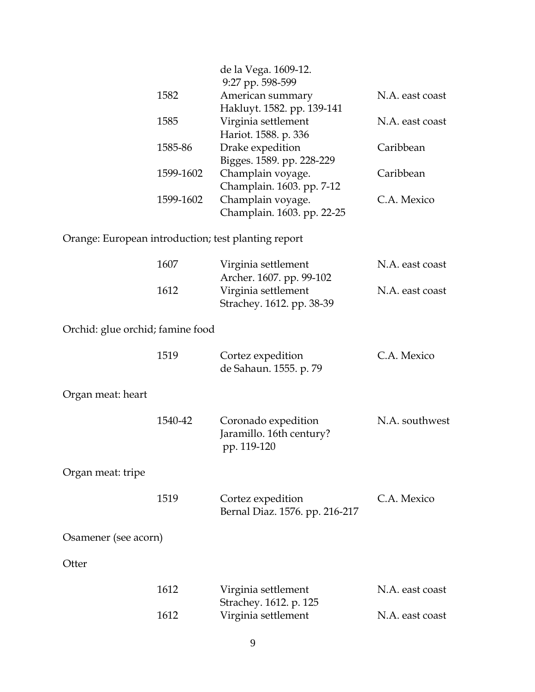|                                                     |           | de la Vega. 1609-12.<br>9:27 pp. 598-599                       |                 |
|-----------------------------------------------------|-----------|----------------------------------------------------------------|-----------------|
|                                                     | 1582      | American summary                                               | N.A. east coast |
|                                                     |           | Hakluyt. 1582. pp. 139-141                                     |                 |
|                                                     | 1585      | Virginia settlement<br>Hariot. 1588. p. 336                    | N.A. east coast |
|                                                     | 1585-86   | Drake expedition                                               | Caribbean       |
|                                                     |           | Bigges. 1589. pp. 228-229                                      |                 |
|                                                     | 1599-1602 | Champlain voyage.                                              | Caribbean       |
|                                                     | 1599-1602 | Champlain. 1603. pp. 7-12<br>Champlain voyage.                 | C.A. Mexico     |
|                                                     |           | Champlain. 1603. pp. 22-25                                     |                 |
| Orange: European introduction; test planting report |           |                                                                |                 |
|                                                     | 1607      | Virginia settlement<br>Archer. 1607. pp. 99-102                | N.A. east coast |
|                                                     | 1612      | Virginia settlement<br>Strachey. 1612. pp. 38-39               | N.A. east coast |
| Orchid: glue orchid; famine food                    |           |                                                                |                 |
|                                                     | 1519      | Cortez expedition<br>de Sahaun. 1555. p. 79                    | C.A. Mexico     |
| Organ meat: heart                                   |           |                                                                |                 |
|                                                     | 1540-42   | Coronado expedition<br>Jaramillo. 16th century?<br>pp. 119-120 | N.A. southwest  |
| Organ meat: tripe                                   |           |                                                                |                 |
|                                                     | 1519      | Cortez expedition<br>Bernal Diaz. 1576. pp. 216-217            | C.A. Mexico     |
| Osamener (see acorn)                                |           |                                                                |                 |
| Otter                                               |           |                                                                |                 |
|                                                     | 1612      | Virginia settlement                                            | N.A. east coast |
|                                                     | 1612      | Strachey. 1612. p. 125<br>Virginia settlement                  | N.A. east coast |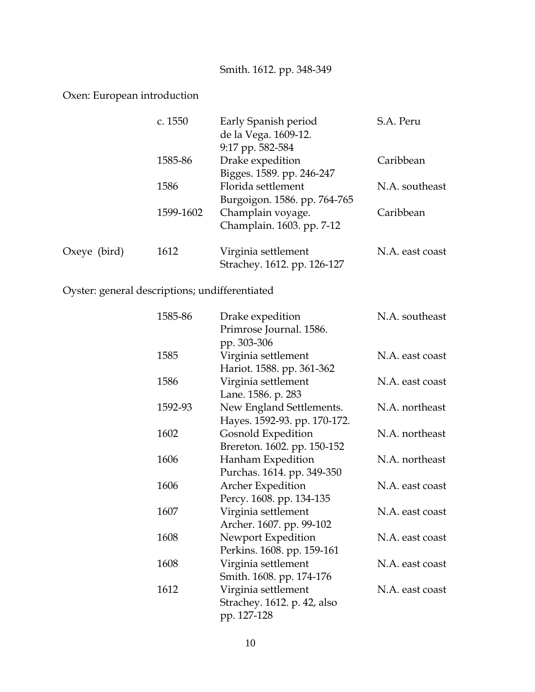## Smith. 1612. pp. 348-349

#### Oxen: European introduction

|                | c. 1550   | Early Spanish period         | S.A. Peru       |
|----------------|-----------|------------------------------|-----------------|
|                |           | de la Vega. 1609-12.         |                 |
|                |           | 9:17 pp. 582-584             |                 |
|                | 1585-86   | Drake expedition             | Caribbean       |
|                |           | Bigges. 1589. pp. 246-247    |                 |
|                | 1586      | Florida settlement           | N.A. southeast  |
|                |           | Burgoigon. 1586. pp. 764-765 |                 |
|                | 1599-1602 | Champlain voyage.            | Caribbean       |
|                |           | Champlain. 1603. pp. 7-12    |                 |
| Oxeye $(bird)$ | 1612      | Virginia settlement          | N.A. east coast |
|                |           | Strachey. 1612. pp. 126-127  |                 |

# Oyster: general descriptions; undifferentiated

| 1585-86 | Drake expedition             | N.A. southeast  |
|---------|------------------------------|-----------------|
|         | Primrose Journal. 1586.      |                 |
|         | pp. 303-306                  |                 |
| 1585    | Virginia settlement          | N.A. east coast |
|         | Hariot. 1588. pp. 361-362    |                 |
| 1586    | Virginia settlement          | N.A. east coast |
|         | Lane. 1586. p. 283           |                 |
| 1592-93 | New England Settlements.     | N.A. northeast  |
|         | Hayes. 1592-93. pp. 170-172. |                 |
| 1602    | <b>Gosnold Expedition</b>    | N.A. northeast  |
|         | Brereton. 1602. pp. 150-152  |                 |
| 1606    | Hanham Expedition            | N.A. northeast  |
|         | Purchas. 1614. pp. 349-350   |                 |
| 1606    | Archer Expedition            | N.A. east coast |
|         | Percy. 1608. pp. 134-135     |                 |
| 1607    | Virginia settlement          | N.A. east coast |
|         | Archer. 1607. pp. 99-102     |                 |
| 1608    | Newport Expedition           | N.A. east coast |
|         | Perkins. 1608. pp. 159-161   |                 |
| 1608    | Virginia settlement          | N.A. east coast |
|         | Smith. 1608. pp. 174-176     |                 |
| 1612    | Virginia settlement          | N.A. east coast |
|         | Strachey. 1612. p. 42, also  |                 |
|         | pp. 127-128                  |                 |
|         |                              |                 |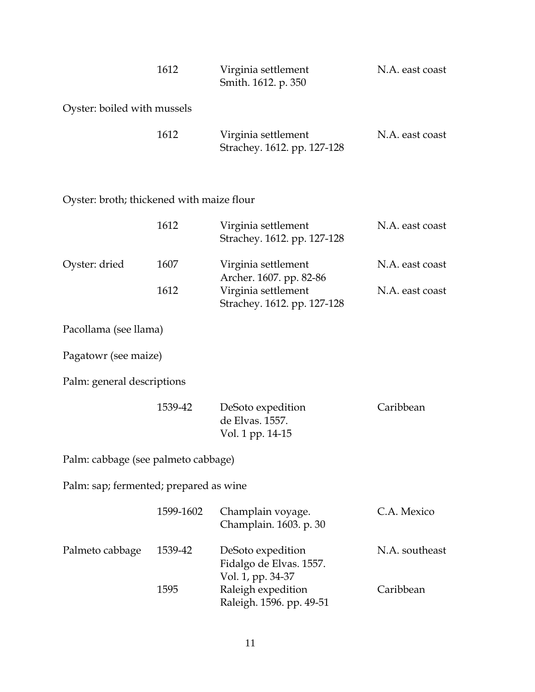| 1612                        | Virginia settlement<br>Smith. 1612. p. 350         | N.A. east coast |
|-----------------------------|----------------------------------------------------|-----------------|
| Oyster: boiled with mussels |                                                    |                 |
| 1612                        | Virginia settlement<br>Strachey. 1612. pp. 127-128 | N.A. east coast |

# Oyster: broth; thickened with maize flour

|                                        | 1612      | Virginia settlement<br>Strachey. 1612. pp. 127-128                | N.A. east coast |
|----------------------------------------|-----------|-------------------------------------------------------------------|-----------------|
| Oyster: dried                          | 1607      | Virginia settlement<br>Archer. 1607. pp. 82-86                    | N.A. east coast |
|                                        | 1612      | Virginia settlement<br>Strachey. 1612. pp. 127-128                | N.A. east coast |
| Pacollama (see llama)                  |           |                                                                   |                 |
| Pagatowr (see maize)                   |           |                                                                   |                 |
| Palm: general descriptions             |           |                                                                   |                 |
|                                        | 1539-42   | DeSoto expedition<br>de Elvas. 1557.<br>Vol. 1 pp. 14-15          | Caribbean       |
| Palm: cabbage (see palmeto cabbage)    |           |                                                                   |                 |
| Palm: sap; fermented; prepared as wine |           |                                                                   |                 |
|                                        | 1599-1602 | Champlain voyage.<br>Champlain. 1603. p. 30                       | C.A. Mexico     |
| Palmeto cabbage                        | 1539-42   | DeSoto expedition<br>Fidalgo de Elvas. 1557.<br>Vol. 1, pp. 34-37 | N.A. southeast  |
|                                        | 1595      | Raleigh expedition<br>Raleigh. 1596. pp. 49-51                    | Caribbean       |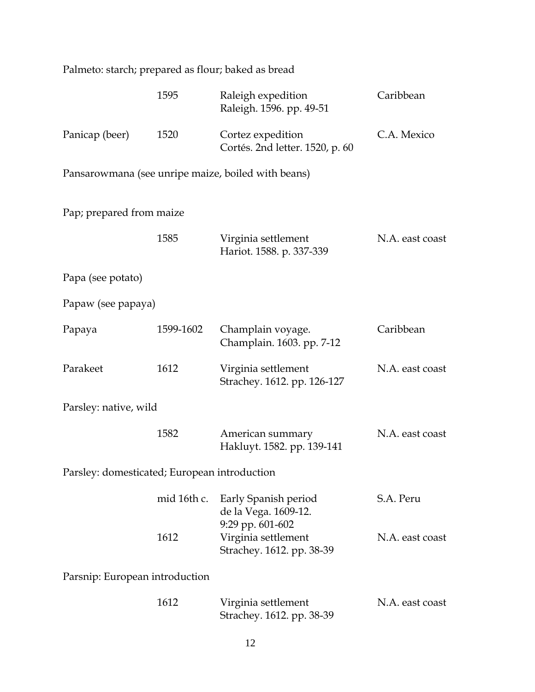|                                              |             | Palmeto: starch; prepared as flour; baked as bread                   |                 |
|----------------------------------------------|-------------|----------------------------------------------------------------------|-----------------|
|                                              | 1595        | Raleigh expedition<br>Raleigh. 1596. pp. 49-51                       | Caribbean       |
| Panicap (beer)                               | 1520        | Cortez expedition<br>Cortés. 2nd letter. 1520, p. 60                 | C.A. Mexico     |
|                                              |             | Pansarowmana (see unripe maize, boiled with beans)                   |                 |
| Pap; prepared from maize                     |             |                                                                      |                 |
|                                              | 1585        | Virginia settlement<br>Hariot. 1588. p. 337-339                      | N.A. east coast |
| Papa (see potato)                            |             |                                                                      |                 |
| Papaw (see papaya)                           |             |                                                                      |                 |
| Papaya                                       | 1599-1602   | Champlain voyage.<br>Champlain. 1603. pp. 7-12                       | Caribbean       |
| Parakeet                                     | 1612        | Virginia settlement<br>Strachey. 1612. pp. 126-127                   | N.A. east coast |
| Parsley: native, wild                        |             |                                                                      |                 |
|                                              | 1582        | American summary<br>Hakluyt. 1582. pp. 139-141                       | N.A. east coast |
| Parsley: domesticated; European introduction |             |                                                                      |                 |
|                                              | mid 16th c. | Early Spanish period<br>de la Vega. 1609-12.                         | S.A. Peru       |
|                                              | 1612        | 9:29 pp. 601-602<br>Virginia settlement<br>Strachey. 1612. pp. 38-39 | N.A. east coast |
| Parsnip: European introduction               |             |                                                                      |                 |
|                                              | 1612        | Virginia settlement<br>Strachey. 1612. pp. 38-39                     | N.A. east coast |
|                                              |             | 12                                                                   |                 |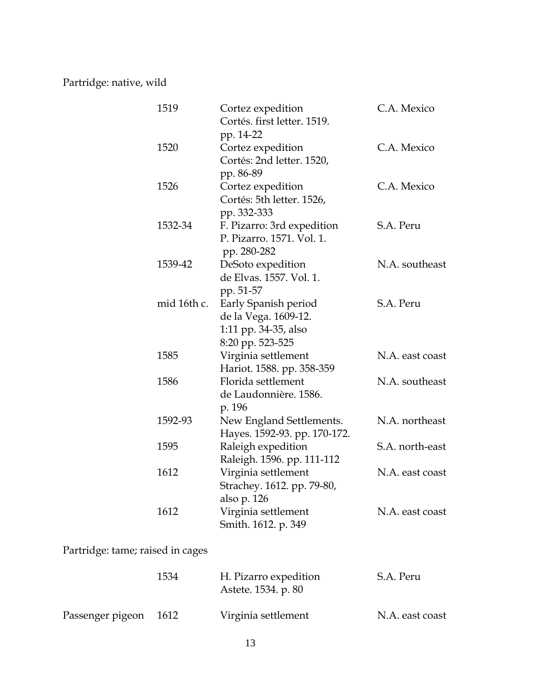Partridge: native, wild

| 1519                             | Cortez expedition<br>Cortés. first letter. 1519.                                         | C.A. Mexico     |
|----------------------------------|------------------------------------------------------------------------------------------|-----------------|
| 1520                             | pp. 14-22<br>Cortez expedition<br>Cortés: 2nd letter. 1520,<br>pp. 86-89                 | C.A. Mexico     |
| 1526                             | Cortez expedition<br>Cortés: 5th letter. 1526,<br>pp. 332-333                            | C.A. Mexico     |
| 1532-34                          | F. Pizarro: 3rd expedition<br>P. Pizarro. 1571. Vol. 1.<br>pp. 280-282                   | S.A. Peru       |
| 1539-42                          | DeSoto expedition<br>de Elvas. 1557. Vol. 1.<br>pp. 51-57                                | N.A. southeast  |
| mid 16th c.                      | Early Spanish period<br>de la Vega. 1609-12.<br>1:11 pp. 34-35, also<br>8:20 pp. 523-525 | S.A. Peru       |
| 1585                             | Virginia settlement<br>Hariot. 1588. pp. 358-359                                         | N.A. east coast |
| 1586                             | Florida settlement<br>de Laudonnière. 1586.<br>p. 196                                    | N.A. southeast  |
| 1592-93                          | New England Settlements.<br>Hayes. 1592-93. pp. 170-172.                                 | N.A. northeast  |
| 1595                             | Raleigh expedition<br>Raleigh. 1596. pp. 111-112                                         | S.A. north-east |
| 1612                             | Virginia settlement<br>Strachey. 1612. pp. 79-80,<br>also p. 126                         | N.A. east coast |
| 1612                             | Virginia settlement<br>Smith. 1612. p. 349                                               | N.A. east coast |
| Partridge: tame; raised in cages |                                                                                          |                 |
| 1534                             | H. Pizarro expedition<br>Astete. 1534. p. 80                                             | S.A. Peru       |

| Passenger pigeon | 1612 | Virginia settlement | N.A. east coast |
|------------------|------|---------------------|-----------------|
|------------------|------|---------------------|-----------------|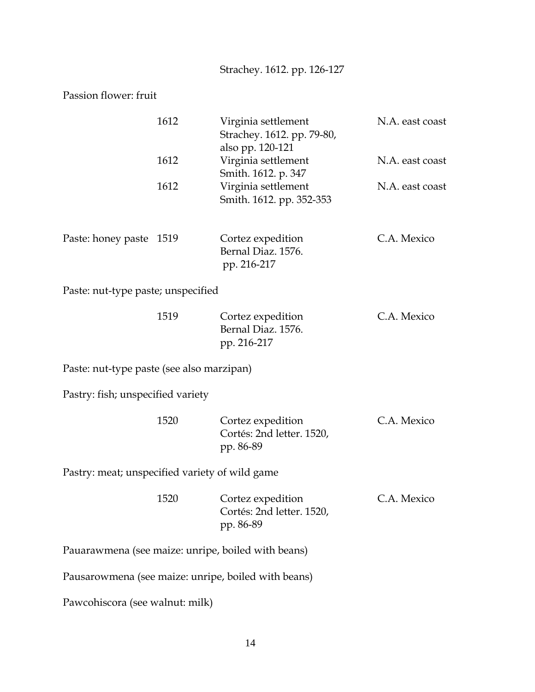Strachey. 1612. pp. 126-127

Passion flower: fruit

|                                                | 1612 | Virginia settlement<br>Strachey. 1612. pp. 79-80,<br>also pp. 120-121 | N.A. east coast |
|------------------------------------------------|------|-----------------------------------------------------------------------|-----------------|
|                                                | 1612 | Virginia settlement<br>Smith. 1612. p. 347                            | N.A. east coast |
|                                                | 1612 | Virginia settlement<br>Smith. 1612. pp. 352-353                       | N.A. east coast |
| Paste: honey paste                             | 1519 | Cortez expedition<br>Bernal Diaz. 1576.<br>pp. 216-217                | C.A. Mexico     |
| Paste: nut-type paste; unspecified             |      |                                                                       |                 |
|                                                | 1519 | Cortez expedition<br>Bernal Diaz. 1576.<br>pp. 216-217                | C.A. Mexico     |
| Paste: nut-type paste (see also marzipan)      |      |                                                                       |                 |
| Pastry: fish; unspecified variety              |      |                                                                       |                 |
|                                                | 1520 | Cortez expedition<br>Cortés: 2nd letter. 1520,<br>pp. 86-89           | C.A. Mexico     |
| Pastry: meat; unspecified variety of wild game |      |                                                                       |                 |
|                                                | 1520 | Cortez expedition<br>Cortés: 2nd letter. 1520,<br>pp. 86-89           | C.A. Mexico     |
|                                                |      | Pauarawmena (see maize: unripe, boiled with beans)                    |                 |
|                                                |      | Pausarowmena (see maize: unripe, boiled with beans)                   |                 |
| Pawcohiscora (see walnut: milk)                |      |                                                                       |                 |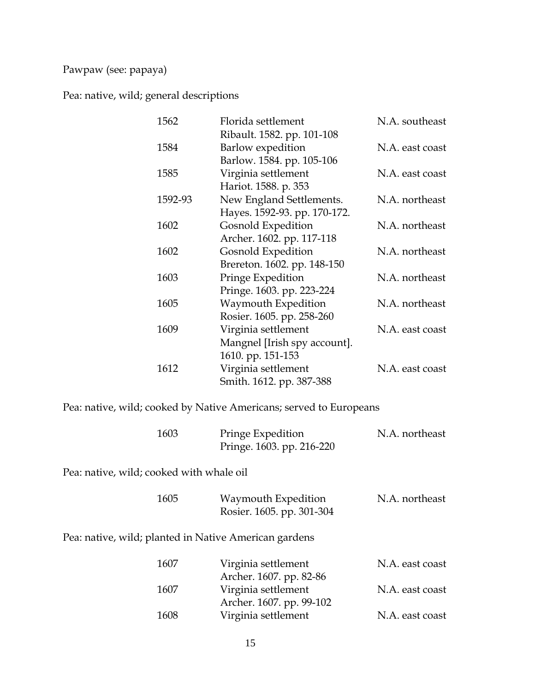#### Pawpaw (see: papaya)

Pea: native, wild; general descriptions

| 1562    | Florida settlement           | N.A. southeast  |
|---------|------------------------------|-----------------|
|         | Ribault. 1582. pp. 101-108   |                 |
| 1584    | Barlow expedition            | N.A. east coast |
|         | Barlow. 1584. pp. 105-106    |                 |
| 1585    | Virginia settlement          | N.A. east coast |
|         | Hariot. 1588. p. 353         |                 |
| 1592-93 | New England Settlements.     | N.A. northeast  |
|         | Hayes. 1592-93. pp. 170-172. |                 |
| 1602    | Gosnold Expedition           | N.A. northeast  |
|         | Archer. 1602. pp. 117-118    |                 |
| 1602    | Gosnold Expedition           | N.A. northeast  |
|         | Brereton. 1602. pp. 148-150  |                 |
| 1603    | Pringe Expedition            | N.A. northeast  |
|         | Pringe. 1603. pp. 223-224    |                 |
| 1605    | Waymouth Expedition          | N.A. northeast  |
|         | Rosier. 1605. pp. 258-260    |                 |
| 1609    | Virginia settlement          | N.A. east coast |
|         | Mangnel [Irish spy account]. |                 |
|         | 1610. pp. 151-153            |                 |
| 1612    | Virginia settlement          | N.A. east coast |
|         | Smith. 1612. pp. 387-388     |                 |

Pea: native, wild; cooked by Native Americans; served to Europeans

| 1603 | Pringe Expedition         | N.A. northeast |
|------|---------------------------|----------------|
|      | Pringe. 1603. pp. 216-220 |                |

Pea: native, wild; cooked with whale oil

| 1605 | Waymouth Expedition       | N.A. northeast |
|------|---------------------------|----------------|
|      | Rosier. 1605. pp. 301-304 |                |

Pea: native, wild; planted in Native American gardens

| 1607 | Virginia settlement      | N.A. east coast |
|------|--------------------------|-----------------|
|      | Archer. 1607. pp. 82-86  |                 |
| 1607 | Virginia settlement      | N.A. east coast |
|      | Archer. 1607. pp. 99-102 |                 |
| 1608 | Virginia settlement      | N.A. east coast |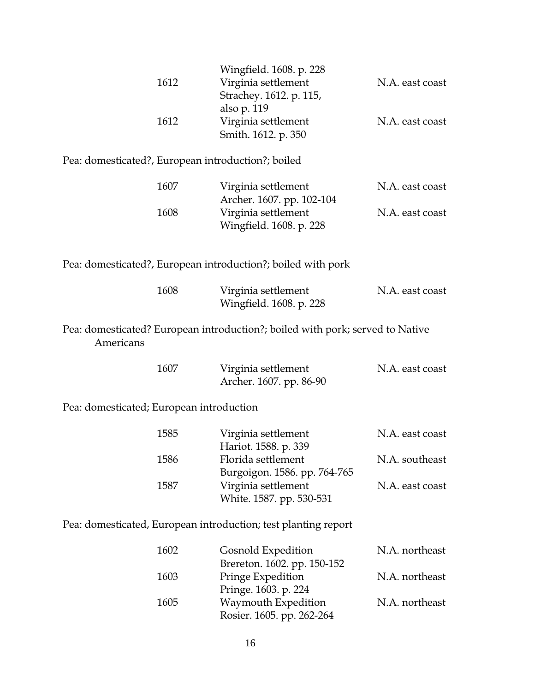| 1612                                               | Wingfield. 1608. p. 228<br>Virginia settlement<br>Strachey. 1612. p. 115,<br>also p. 119 | N.A. east coast |
|----------------------------------------------------|------------------------------------------------------------------------------------------|-----------------|
| 1612                                               | Virginia settlement<br>Smith. 1612. p. 350                                               | N.A. east coast |
| Pea: domesticated?, European introduction?; boiled |                                                                                          |                 |
| 1607                                               | Virginia settlement<br>Archer. 1607. pp. 102-104                                         | N.A. east coast |
| 1608                                               | Virginia settlement<br>Wingfield. 1608. p. 228                                           | N.A. east coast |
|                                                    | Pea: domesticated?, European introduction?; boiled with pork                             |                 |
| 1608                                               | Virginia settlement<br>Wingfield. 1608. p. 228                                           | N.A. east coast |
| Americans                                          | Pea: domesticated? European introduction?; boiled with pork; served to Native            |                 |
| 1607                                               | Virginia settlement<br>Archer. 1607. pp. 86-90                                           | N.A. east coast |
| Pea: domesticated; European introduction           |                                                                                          |                 |
| 1585                                               | Virginia settlement<br>Hariot. 1588. p. 339                                              | N.A. east coast |
| 1586                                               | Florida settlement                                                                       | N.A. southeast  |
| 1587                                               | Burgoigon. 1586. pp. 764-765<br>Virginia settlement<br>White. 1587. pp. 530-531          | N.A. east coast |
|                                                    | Pea: domesticated, European introduction; test planting report                           |                 |
| 1602                                               | Gosnold Expedition<br>Brereton. 1602. pp. 150-152                                        | N.A. northeast  |
| 1603                                               | Pringe Expedition<br>Pringe. 1603. p. 224                                                | N.A. northeast  |

16

1605 Waymouth Expedition N.A. northeast

Rosier. 1605. pp. 262-264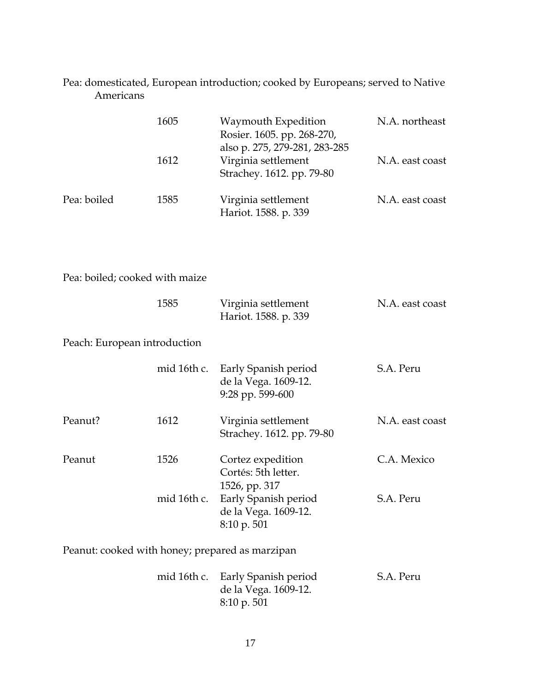### Pea: domesticated, European introduction; cooked by Europeans; served to Native Americans

|                                                 | 1605        | Waymouth Expedition<br>Rosier. 1605. pp. 268-270,                                 | N.A. northeast  |
|-------------------------------------------------|-------------|-----------------------------------------------------------------------------------|-----------------|
|                                                 | 1612        | also p. 275, 279-281, 283-285<br>Virginia settlement<br>Strachey. 1612. pp. 79-80 | N.A. east coast |
| Pea: boiled                                     | 1585        | Virginia settlement<br>Hariot. 1588. p. 339                                       | N.A. east coast |
|                                                 |             |                                                                                   |                 |
| Pea: boiled; cooked with maize                  |             |                                                                                   |                 |
|                                                 | 1585        | Virginia settlement<br>Hariot. 1588. p. 339                                       | N.A. east coast |
| Peach: European introduction                    |             |                                                                                   |                 |
|                                                 | mid 16th c. | Early Spanish period<br>de la Vega. 1609-12.<br>9:28 pp. 599-600                  | S.A. Peru       |
| Peanut?                                         | 1612        | Virginia settlement<br>Strachey. 1612. pp. 79-80                                  | N.A. east coast |
| Peanut                                          | 1526        | Cortez expedition<br>Cortés: 5th letter.<br>1526, pp. 317                         | C.A. Mexico     |
|                                                 | mid 16th c. | Early Spanish period<br>de la Vega. 1609-12.<br>8:10 p. 501                       | S.A. Peru       |
| Peanut: cooked with honey; prepared as marzipan |             |                                                                                   |                 |
|                                                 | mid 16th c. | Early Spanish period<br>de la Vega. 1609-12.                                      | S.A. Peru       |

8:10 p. 501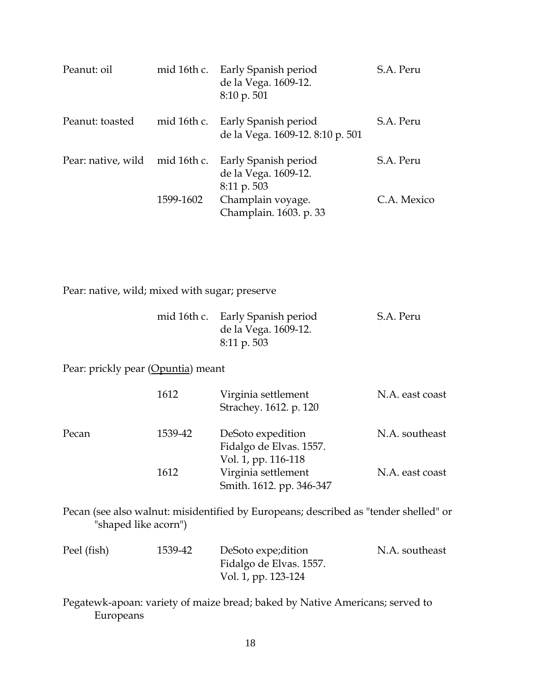| Peanut: oil        | mid 16th c. | Early Spanish period<br>de la Vega. 1609-12.<br>$8:10 \text{ p. } 501$ | S.A. Peru   |
|--------------------|-------------|------------------------------------------------------------------------|-------------|
| Peanut: toasted    |             | mid 16th c. Early Spanish period<br>de la Vega. 1609-12. 8:10 p. 501   | S.A. Peru   |
| Pear: native, wild | mid 16th c. | Early Spanish period<br>de la Vega. 1609-12.<br>8:11 p. 503            | S.A. Peru   |
|                    | 1599-1602   | Champlain voyage.<br>Champlain. 1603. p. 33                            | C.A. Mexico |

Pear: native, wild; mixed with sugar; preserve

| mid 16th c. Early Spanish period | S.A. Peru |
|----------------------------------|-----------|
| de la Vega. 1609-12.             |           |
| $8:11 \text{ p. }503$            |           |

Pear: prickly pear (Opuntia) meant

|       | 1612    | Virginia settlement<br>Strachey. 1612. p. 120                       | N.A. east coast |
|-------|---------|---------------------------------------------------------------------|-----------------|
| Pecan | 1539-42 | DeSoto expedition<br>Fidalgo de Elvas. 1557.<br>Vol. 1, pp. 116-118 | N.A. southeast  |
|       | 1612    | Virginia settlement<br>Smith. 1612. pp. 346-347                     | N.A. east coast |

Pecan (see also walnut: misidentified by Europeans; described as "tender shelled" or "shaped like acorn")

| Peel (fish) | 1539-42 | DeSoto expe; dition     | N.A. southeast |
|-------------|---------|-------------------------|----------------|
|             |         | Fidalgo de Elvas. 1557. |                |
|             |         | Vol. 1, pp. 123-124     |                |

Pegatewk-apoan: variety of maize bread; baked by Native Americans; served to Europeans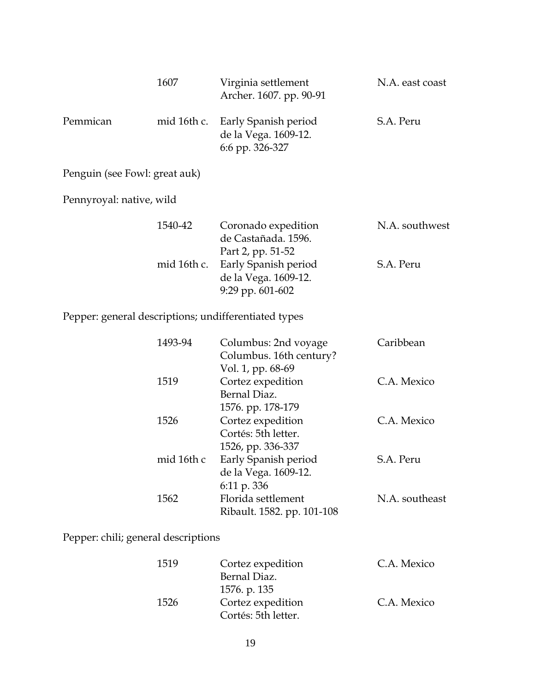|                                                      | 1607        | Virginia settlement<br>Archer. 1607. pp. 90-91                       | N.A. east coast |
|------------------------------------------------------|-------------|----------------------------------------------------------------------|-----------------|
| Pemmican                                             | mid 16th c. | Early Spanish period<br>de la Vega. 1609-12.<br>6:6 pp. 326-327      | S.A. Peru       |
| Penguin (see Fowl: great auk)                        |             |                                                                      |                 |
| Pennyroyal: native, wild                             |             |                                                                      |                 |
|                                                      | 1540-42     | Coronado expedition<br>de Castañada. 1596.<br>Part 2, pp. 51-52      | N.A. southwest  |
|                                                      | mid 16th c. | Early Spanish period<br>de la Vega. 1609-12.<br>9:29 pp. 601-602     | S.A. Peru       |
| Pepper: general descriptions; undifferentiated types |             |                                                                      |                 |
|                                                      | 1493-94     | Columbus: 2nd voyage<br>Columbus. 16th century?<br>Vol. 1, pp. 68-69 | Caribbean       |
|                                                      | 1519        | Cortez expedition<br>Bernal Diaz.<br>1576. pp. 178-179               | C.A. Mexico     |
|                                                      | 1526        | Cortez expedition<br>Cortés: 5th letter.<br>1526, pp. 336-337        | C.A. Mexico     |
|                                                      | mid 16th c  | Early Spanish period<br>de la Vega. 1609-12.<br>6:11 p. 336          | S.A. Peru       |
|                                                      | 1562        | Florida settlement<br>Ribault. 1582. pp. 101-108                     | N.A. southeast  |

Pepper: chili; general descriptions

| 1519 | Cortez expedition   | C.A. Mexico |
|------|---------------------|-------------|
|      | Bernal Diaz.        |             |
|      | 1576. p. 135        |             |
| 1526 | Cortez expedition   | C.A. Mexico |
|      | Cortés: 5th letter. |             |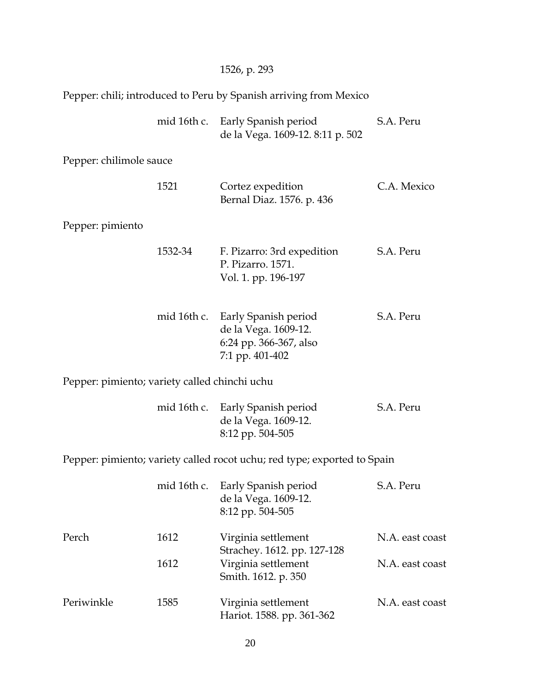| Pepper: chili; introduced to Peru by Spanish arriving from Mexico |             |                                                                                                       |                 |
|-------------------------------------------------------------------|-------------|-------------------------------------------------------------------------------------------------------|-----------------|
|                                                                   | mid 16th c. | Early Spanish period<br>de la Vega. 1609-12. 8:11 p. 502                                              | S.A. Peru       |
| Pepper: chilimole sauce                                           |             |                                                                                                       |                 |
|                                                                   | 1521        | Cortez expedition<br>Bernal Diaz. 1576. p. 436                                                        | C.A. Mexico     |
| Pepper: pimiento                                                  |             |                                                                                                       |                 |
|                                                                   | 1532-34     | F. Pizarro: 3rd expedition<br>P. Pizarro, 1571.<br>Vol. 1. pp. 196-197                                | S.A. Peru       |
|                                                                   |             | mid 16th c. Early Spanish period<br>de la Vega. 1609-12.<br>6:24 pp. 366-367, also<br>7:1 pp. 401-402 | S.A. Peru       |
| Pepper: pimiento; variety called chinchi uchu                     |             |                                                                                                       |                 |
|                                                                   |             | mid 16th c. Early Spanish period<br>de la Vega. 1609-12.<br>8:12 pp. 504-505                          | S.A. Peru       |
|                                                                   |             | Pepper: pimiento; variety called rocot uchu; red type; exported to Spain                              |                 |
|                                                                   | mid 16th c. | Early Spanish period<br>de la Vega. 1609-12.<br>8:12 pp. 504-505                                      | S.A. Peru       |
| Perch                                                             | 1612        | Virginia settlement                                                                                   | N.A. east coast |
|                                                                   | 1612        | Strachey. 1612. pp. 127-128<br>Virginia settlement<br>Smith. 1612. p. 350                             | N.A. east coast |
| Periwinkle                                                        | 1585        | Virginia settlement<br>Hariot. 1588. pp. 361-362                                                      | N.A. east coast |

1526, p. 293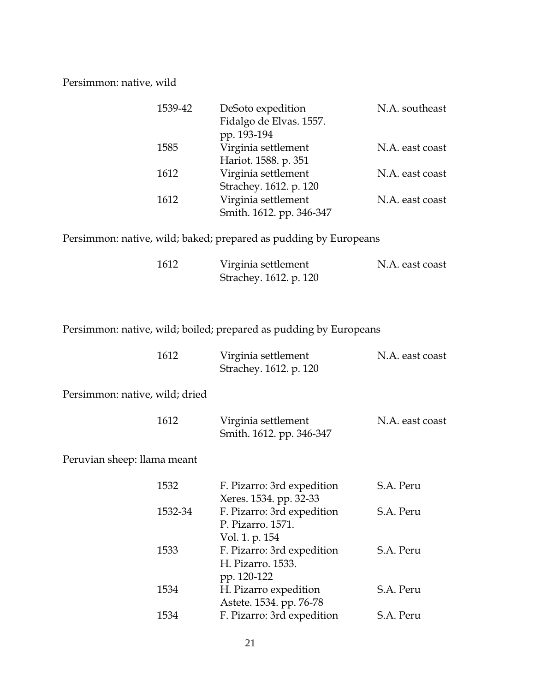#### Persimmon: native, wild

| 1539-42 | DeSoto expedition<br>Fidalgo de Elvas. 1557.<br>pp. 193-194 | N.A. southeast  |
|---------|-------------------------------------------------------------|-----------------|
| 1585    | Virginia settlement<br>Hariot. 1588. p. 351                 | N.A. east coast |
| 1612    | Virginia settlement<br>Strachey. 1612. p. 120               | N.A. east coast |
| 1612    | Virginia settlement<br>Smith. 1612. pp. 346-347             | N.A. east coast |

Persimmon: native, wild; baked; prepared as pudding by Europeans

| 1612 | Virginia settlement    | N.A. east coast |
|------|------------------------|-----------------|
|      | Strachey. 1612. p. 120 |                 |

Persimmon: native, wild; boiled; prepared as pudding by Europeans

| 1612                           | Virginia settlement<br>Strachey. 1612. p. 120                     | N.A. east coast |
|--------------------------------|-------------------------------------------------------------------|-----------------|
| Persimmon: native, wild; dried |                                                                   |                 |
| 1612                           | Virginia settlement<br>Smith. 1612. pp. 346-347                   | N.A. east coast |
| Peruvian sheep: llama meant    |                                                                   |                 |
| 1532                           | F. Pizarro: 3rd expedition<br>Xeres. 1534. pp. 32-33              | S.A. Peru       |
| 1532-34                        | F. Pizarro: 3rd expedition<br>P. Pizarro. 1571.<br>Vol. 1. p. 154 | S.A. Peru       |
| 1533                           | F. Pizarro: 3rd expedition<br>H. Pizarro. 1533.<br>pp. 120-122    | S.A. Peru       |
| 1534                           | H. Pizarro expedition<br>Astete. 1534. pp. 76-78                  | S.A. Peru       |
| 1534                           | F. Pizarro: 3rd expedition                                        | S.A. Peru       |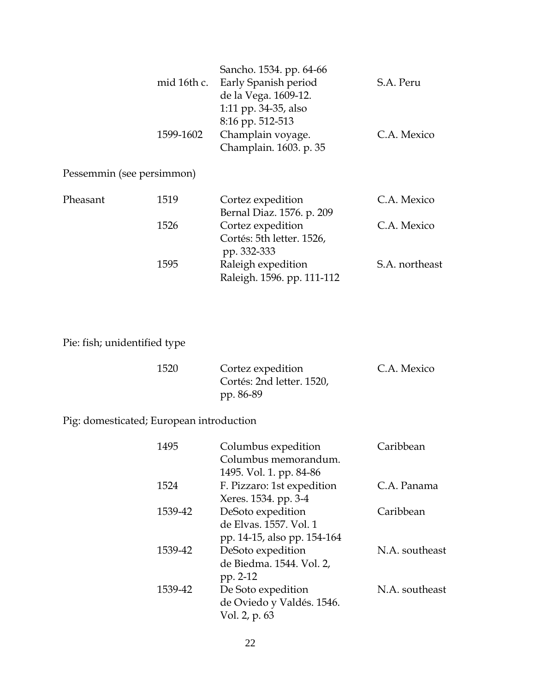|                           |           | Sancho. 1534. pp. 64-66          |             |
|---------------------------|-----------|----------------------------------|-------------|
|                           |           | mid 16th c. Early Spanish period | S.A. Peru   |
|                           |           | de la Vega. 1609-12.             |             |
|                           |           | 1:11 pp. 34-35, also             |             |
|                           |           | 8:16 pp. 512-513                 |             |
|                           | 1599-1602 | Champlain voyage.                | C.A. Mexico |
|                           |           | Champlain. 1603. p. 35           |             |
| Pessemmin (see persimmon) |           |                                  |             |
| Pheasant                  | 1519      | Cortez expedition                | C.A. Mexico |
|                           |           | Bernal Diaz. 1576. p. 209        |             |
|                           | 1526      | Cortez expedition                | C.A. Mexico |
|                           |           | Cortés: 5th letter. 1526,        |             |
|                           |           | pp. 332-333                      |             |

## Pie: fish; unidentified type

| 1520 | Cortez expedition         | C.A. Mexico |
|------|---------------------------|-------------|
|      | Cortés: 2nd letter. 1520, |             |
|      | pp. 86-89                 |             |

1595 Raleigh expedition S.A. northeast

Raleigh. 1596. pp. 111-112

Pig: domesticated; European introduction

| 1495    | Columbus expedition         | Caribbean      |
|---------|-----------------------------|----------------|
|         | Columbus memorandum.        |                |
|         | 1495. Vol. 1. pp. 84-86     |                |
| 1524    | F. Pizzaro: 1st expedition  | C.A. Panama    |
|         | Xeres. 1534. pp. 3-4        |                |
| 1539-42 | DeSoto expedition           | Caribbean      |
|         | de Elvas. 1557. Vol. 1      |                |
|         | pp. 14-15, also pp. 154-164 |                |
| 1539-42 | DeSoto expedition           | N.A. southeast |
|         | de Biedma. 1544. Vol. 2,    |                |
|         | pp. 2-12                    |                |
| 1539-42 | De Soto expedition          | N.A. southeast |
|         | de Oviedo y Valdés. 1546.   |                |
|         | Vol. 2, p. 63               |                |
|         |                             |                |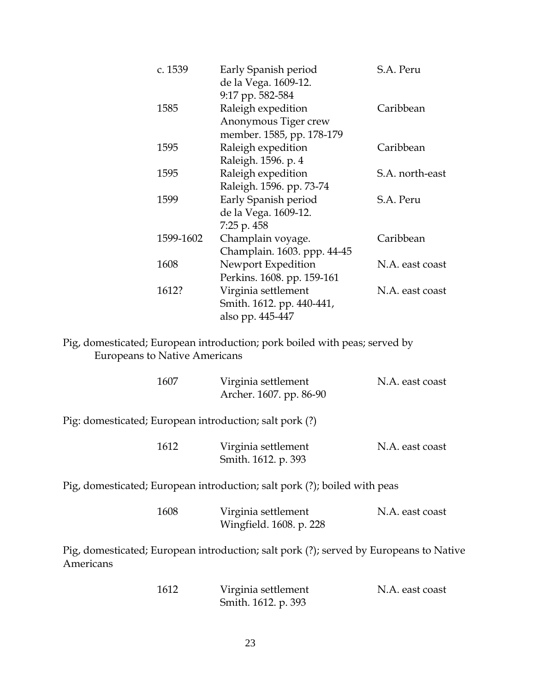| c. 1539   | Early Spanish period<br>de la Vega. 1609-12. | S.A. Peru       |
|-----------|----------------------------------------------|-----------------|
|           | 9:17 pp. 582-584                             |                 |
| 1585      | Raleigh expedition<br>Anonymous Tiger crew   | Caribbean       |
|           | member. 1585, pp. 178-179                    |                 |
| 1595      | Raleigh expedition                           | Caribbean       |
|           | Raleigh. 1596. p. 4                          |                 |
| 1595      | Raleigh expedition                           | S.A. north-east |
|           | Raleigh. 1596. pp. 73-74                     |                 |
| 1599      | Early Spanish period                         | S.A. Peru       |
|           | de la Vega. 1609-12.                         |                 |
|           | 7:25 p. 458                                  |                 |
| 1599-1602 | Champlain voyage.                            | Caribbean       |
|           | Champlain. 1603. ppp. 44-45                  |                 |
| 1608      | Newport Expedition                           | N.A. east coast |
|           | Perkins. 1608. pp. 159-161                   |                 |
| 1612?     | Virginia settlement                          | N.A. east coast |
|           | Smith. 1612. pp. 440-441,                    |                 |
|           | also pp. 445-447                             |                 |
|           |                                              |                 |

Pig, domesticated; European introduction; pork boiled with peas; served by Europeans to Native Americans

|           | 1607 | Virginia settlement<br>Archer. 1607. pp. 86-90                                         | N.A. east coast |
|-----------|------|----------------------------------------------------------------------------------------|-----------------|
|           |      | Pig: domesticated; European introduction; salt pork (?)                                |                 |
|           | 1612 | Virginia settlement<br>Smith. 1612. p. 393                                             | N.A. east coast |
|           |      | Pig, domesticated; European introduction; salt pork (?); boiled with peas              |                 |
|           | 1608 | Virginia settlement<br>Wingfield. 1608. p. 228                                         | N.A. east coast |
| Americans |      | Pig, domesticated; European introduction; salt pork (?); served by Europeans to Native |                 |
|           | 1612 | Virginia settlement<br>Smith. 1612. p. 393                                             | N.A. east coast |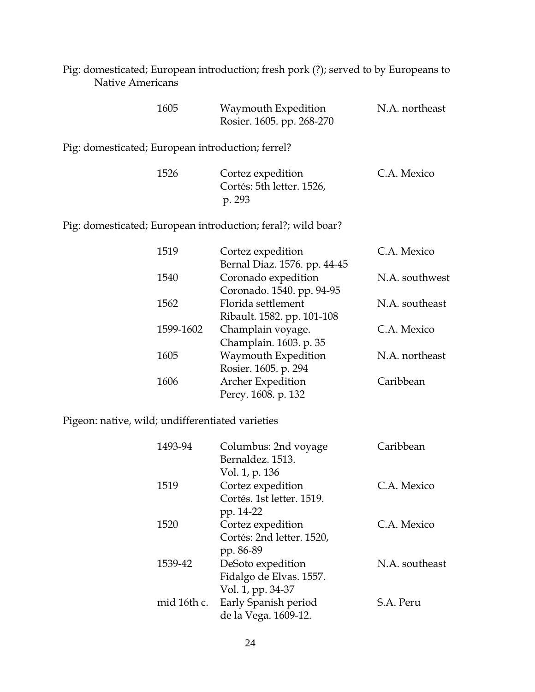Pig: domesticated; European introduction; fresh pork (?); served to by Europeans to Native Americans

| 1605 | Waymouth Expedition       | N.A. northeast |
|------|---------------------------|----------------|
|      | Rosier. 1605. pp. 268-270 |                |

Pig: domesticated; European introduction; ferrel?

| 1526 | Cortez expedition         | C.A. Mexico |
|------|---------------------------|-------------|
|      | Cortés: 5th letter. 1526, |             |
|      | p. 293                    |             |

Pig: domesticated; European introduction; feral?; wild boar?

| 1519      | Cortez expedition            | C.A. Mexico    |
|-----------|------------------------------|----------------|
|           | Bernal Diaz. 1576. pp. 44-45 |                |
| 1540      | Coronado expedition          | N.A. southwest |
|           | Coronado. 1540. pp. 94-95    |                |
| 1562      | Florida settlement           | N.A. southeast |
|           | Ribault. 1582. pp. 101-108   |                |
| 1599-1602 | Champlain voyage.            | C.A. Mexico    |
|           | Champlain. 1603. p. 35       |                |
| 1605      | Waymouth Expedition          | N.A. northeast |
|           | Rosier. 1605. p. 294         |                |
| 1606      | Archer Expedition            | Caribbean      |
|           | Percy. 1608. p. 132          |                |

Pigeon: native, wild; undifferentiated varieties

| 1493-94     | Columbus: 2nd voyage      | Caribbean      |
|-------------|---------------------------|----------------|
|             | Bernaldez. 1513.          |                |
|             | Vol. 1, p. 136            |                |
| 1519        | Cortez expedition         | C.A. Mexico    |
|             | Cortés. 1st letter. 1519. |                |
|             | pp. 14-22                 |                |
| 1520        | Cortez expedition         | C.A. Mexico    |
|             | Cortés: 2nd letter. 1520, |                |
|             | pp. 86-89                 |                |
| 1539-42     | DeSoto expedition         | N.A. southeast |
|             | Fidalgo de Elvas. 1557.   |                |
|             | Vol. 1, pp. 34-37         |                |
| mid 16th c. | Early Spanish period      | S.A. Peru      |
|             | de la Vega. 1609-12.      |                |
|             |                           |                |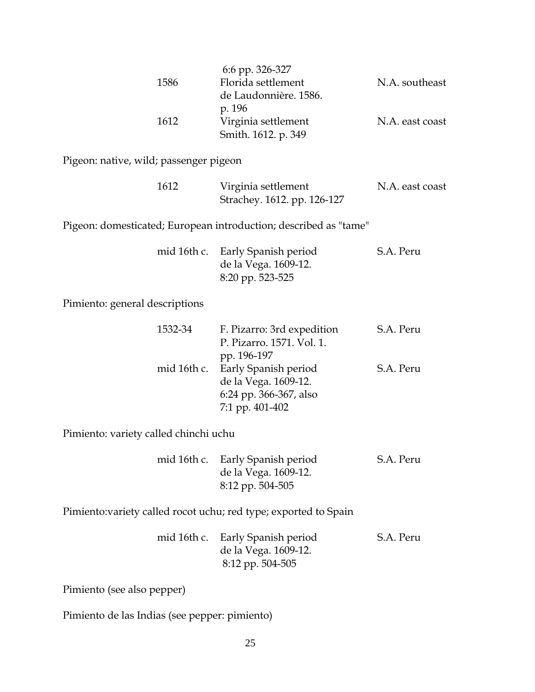|      | 6:6 pp. 326-327       |                 |
|------|-----------------------|-----------------|
| 1586 | Florida settlement    | N.A. southeast  |
|      | de Laudonnière. 1586. |                 |
|      | p. 196                |                 |
| 1612 | Virginia settlement   | N.A. east coast |
|      | Smith. 1612. p. 349   |                 |

Pigeon: native, wild; passenger pigeon

| 1612 | Virginia settlement         | N.A. east coast |
|------|-----------------------------|-----------------|
|      | Strachey. 1612. pp. 126-127 |                 |

Pigeon: domesticated; European introduction; described as "tame"

|  | mid 16th c. Early Spanish period | S.A. Peru |
|--|----------------------------------|-----------|
|  | de la Vega. 1609-12.             |           |
|  | 8:20 pp. 523-525                 |           |

Pimiento: general descriptions

| 1532-34 | F. Pizarro: 3rd expedition       | S.A. Peru |
|---------|----------------------------------|-----------|
|         | P. Pizarro. 1571. Vol. 1.        |           |
|         | pp. 196-197                      |           |
|         | mid 16th c. Early Spanish period | S.A. Peru |
|         | de la Vega. 1609-12.             |           |
|         | 6:24 pp. 366-367, also           |           |
|         | 7:1 pp. 401-402                  |           |

Pimiento: variety called chinchi uchu

|  | mid 16th c. Early Spanish period | S.A. Peru |
|--|----------------------------------|-----------|
|  | de la Vega. 1609-12.             |           |
|  | 8:12 pp. 504-505                 |           |

Pimiento:variety called rocot uchu; red type; exported to Spain

|  | mid 16th c. Early Spanish period | S.A. Peru |
|--|----------------------------------|-----------|
|  | de la Vega. 1609-12.             |           |
|  | 8:12 pp. 504-505                 |           |

Pimiento (see also pepper)

Pimiento de las Indias (see pepper: pimiento)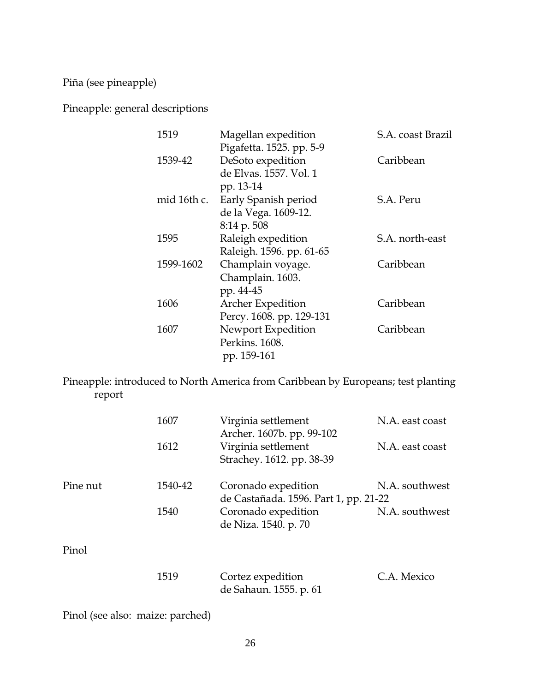Piña (see pineapple)

Pineapple: general descriptions

| 1519 |             | Magellan expedition      | S.A. coast Brazil |
|------|-------------|--------------------------|-------------------|
|      |             | Pigafetta. 1525. pp. 5-9 |                   |
|      | 1539-42     | DeSoto expedition        | Caribbean         |
|      |             | de Elvas. 1557. Vol. 1   |                   |
|      |             | pp. 13-14                |                   |
|      | mid 16th c. | Early Spanish period     | S.A. Peru         |
|      |             | de la Vega. 1609-12.     |                   |
|      |             | 8:14 p. 508              |                   |
| 1595 |             | Raleigh expedition       | S.A. north-east   |
|      |             | Raleigh. 1596. pp. 61-65 |                   |
|      | 1599-1602   | Champlain voyage.        | Caribbean         |
|      |             | Champlain. 1603.         |                   |
|      |             | pp. 44-45                |                   |
| 1606 |             | <b>Archer Expedition</b> | Caribbean         |
|      |             | Percy. 1608. pp. 129-131 |                   |
| 1607 |             | Newport Expedition       | Caribbean         |
|      |             | Perkins. 1608.           |                   |
|      |             | pp. 159-161              |                   |

Pineapple: introduced to North America from Caribbean by Europeans; test planting report

| 1607    | Virginia settlement                                          | N.A. east coast           |
|---------|--------------------------------------------------------------|---------------------------|
| 1612    | Virginia settlement<br>Strachey. 1612. pp. 38-39             | N.A. east coast           |
| 1540-42 | Coronado expedition<br>de Castañada. 1596. Part 1, pp. 21-22 | N.A. southwest            |
| 1540    | Coronado expedition<br>de Niza. 1540. p. 70                  | N.A. southwest            |
|         |                                                              |                           |
| 1519    | Cortez expedition<br>de Sahaun. 1555. p. 61                  | C.A. Mexico               |
|         |                                                              | Archer. 1607b. pp. 99-102 |

Pinol (see also: maize: parched)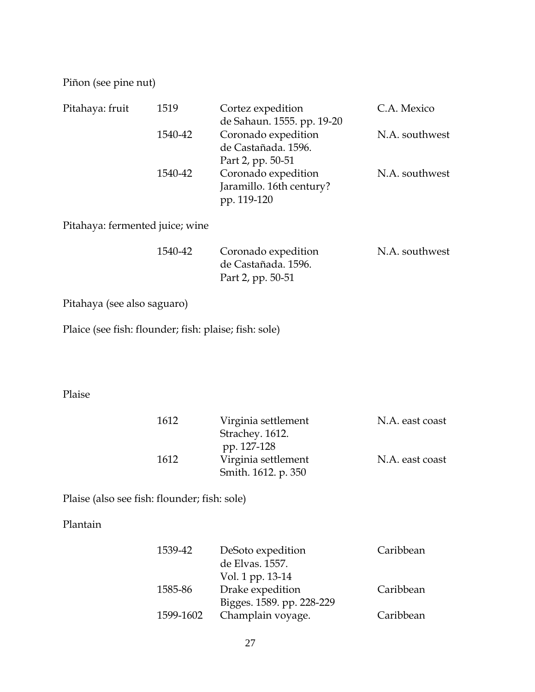Piñon (see pine nut)

| Pitahaya: fruit                                       | 1519      | Cortez expedition<br>de Sahaun. 1555. pp. 19-20                 | C.A. Mexico     |
|-------------------------------------------------------|-----------|-----------------------------------------------------------------|-----------------|
|                                                       | 1540-42   | Coronado expedition<br>de Castañada. 1596.<br>Part 2, pp. 50-51 | N.A. southwest  |
|                                                       | 1540-42   | Coronado expedition<br>Jaramillo. 16th century?<br>pp. 119-120  | N.A. southwest  |
| Pitahaya: fermented juice; wine                       |           |                                                                 |                 |
|                                                       | 1540-42   | Coronado expedition<br>de Castañada. 1596.<br>Part 2, pp. 50-51 | N.A. southwest  |
| Pitahaya (see also saguaro)                           |           |                                                                 |                 |
| Plaice (see fish: flounder; fish: plaise; fish: sole) |           |                                                                 |                 |
|                                                       |           |                                                                 |                 |
|                                                       |           |                                                                 |                 |
| Plaise                                                |           |                                                                 |                 |
|                                                       | 1612      | Virginia settlement<br>Strachey. 1612.<br>pp. 127-128           | N.A. east coast |
|                                                       | 1612      | Virginia settlement<br>Smith. 1612. p. 350                      | N.A. east coast |
| Plaise (also see fish: flounder; fish: sole)          |           |                                                                 |                 |
| Plantain                                              |           |                                                                 |                 |
|                                                       | 1539-42   | DeSoto expedition<br>de Elvas. 1557.<br>Vol. 1 pp. 13-14        | Caribbean       |
|                                                       | 1585-86   | Drake expedition<br>Bigges. 1589. pp. 228-229                   | Caribbean       |
|                                                       | 1599-1602 | Champlain voyage.                                               | Caribbean       |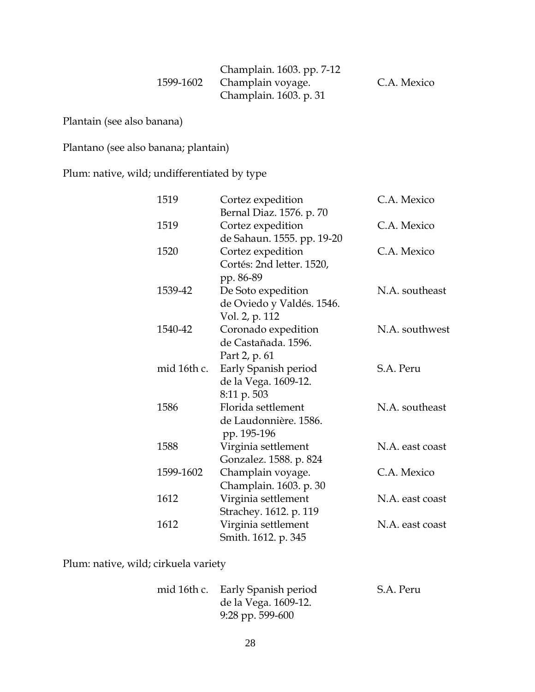| Champlain. 1603. pp. 7-12<br>1599-1602 Champlain voyage. | C.A. Mexico |
|----------------------------------------------------------|-------------|
| Champlain. 1603. p. 31                                   |             |

Plantain (see also banana)

Plantano (see also banana; plantain)

Plum: native, wild; undifferentiated by type

| 1519        | Cortez expedition          | C.A. Mexico     |
|-------------|----------------------------|-----------------|
|             | Bernal Diaz. 1576. p. 70   |                 |
| 1519        | Cortez expedition          | C.A. Mexico     |
|             | de Sahaun. 1555. pp. 19-20 |                 |
| 1520        | Cortez expedition          | C.A. Mexico     |
|             | Cortés: 2nd letter. 1520,  |                 |
|             | pp. 86-89                  |                 |
| 1539-42     | De Soto expedition         | N.A. southeast  |
|             | de Oviedo y Valdés. 1546.  |                 |
|             | Vol. 2, p. 112             |                 |
| 1540-42     | Coronado expedition        | N.A. southwest  |
|             | de Castañada. 1596.        |                 |
|             | Part 2, p. 61              |                 |
| mid 16th c. | Early Spanish period       | S.A. Peru       |
|             | de la Vega. 1609-12.       |                 |
|             | 8:11 p. 503                |                 |
| 1586        | Florida settlement         | N.A. southeast  |
|             | de Laudonnière. 1586.      |                 |
|             | pp. 195-196                |                 |
| 1588        | Virginia settlement        | N.A. east coast |
|             | Gonzalez. 1588. p. 824     |                 |
| 1599-1602   | Champlain voyage.          | C.A. Mexico     |
|             | Champlain. 1603. p. 30     |                 |
| 1612        | Virginia settlement        | N.A. east coast |
|             | Strachey. 1612. p. 119     |                 |
| 1612        | Virginia settlement        | N.A. east coast |
|             | Smith. 1612. p. 345        |                 |

Plum: native, wild; cirkuela variety

|  | mid 16th c. Early Spanish period | S.A. Peru |
|--|----------------------------------|-----------|
|  | de la Vega. 1609-12.             |           |
|  | $9:28$ pp. 599-600               |           |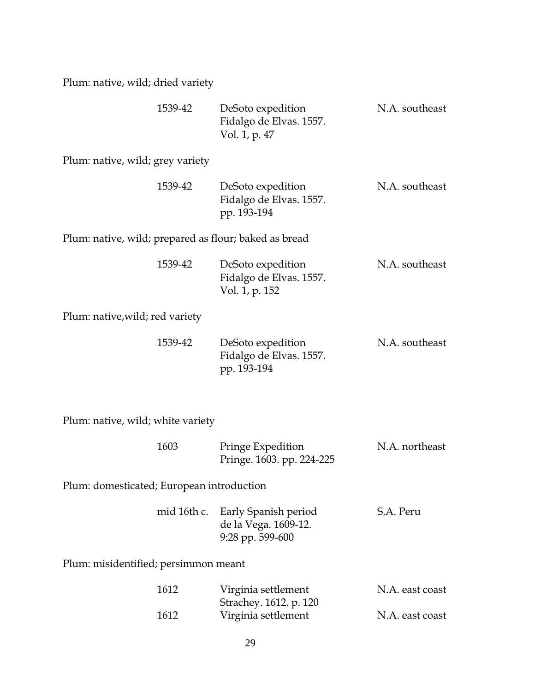Plum: native, wild; dried variety

| 1539-42                                               | DeSoto expedition<br>Fidalgo de Elvas. 1557.<br>Vol. 1, p. 47  | N.A. southeast |
|-------------------------------------------------------|----------------------------------------------------------------|----------------|
| Plum: native, wild; grey variety                      |                                                                |                |
| 1539-42                                               | DeSoto expedition<br>Fidalgo de Elvas. 1557.<br>pp. 193-194    | N.A. southeast |
| Plum: native, wild; prepared as flour; baked as bread |                                                                |                |
| 1539-42                                               | DeSoto expedition<br>Fidalgo de Elvas. 1557.<br>Vol. 1, p. 152 | N.A. southeast |
| Plum: native,wild; red variety                        |                                                                |                |
| 1539-42                                               | DeSoto expedition<br>Fidalgo de Elvas. 1557.<br>pp. 193-194    | N.A. southeast |
| Plum: native, wild; white variety                     |                                                                |                |
| 1603                                                  | Pringe Expedition<br>Pringe. 1603. pp. 224-225                 | N.A. northeast |

Plum: domesticated; European introduction

|  | mid 16th c. Early Spanish period | S.A. Peru |
|--|----------------------------------|-----------|
|  | de la Vega. 1609-12.             |           |
|  | 9:28 pp. 599-600                 |           |

Plum: misidentified; persimmon meant

| 1612 | Virginia settlement    | N.A. east coast |
|------|------------------------|-----------------|
|      | Strachey. 1612. p. 120 |                 |
| 1612 | Virginia settlement    | N.A. east coast |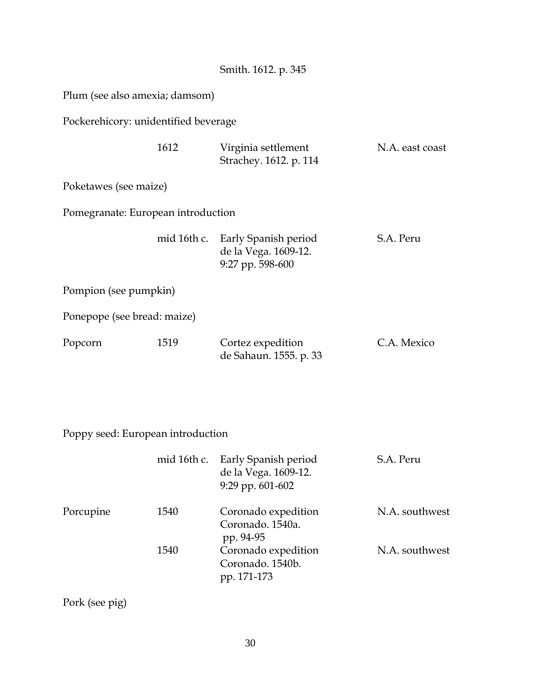Plum (see also amexia; damsom)

Pockerehicory: unidentified beverage

| 1612 | Virginia settlement    | N.A. east coast |
|------|------------------------|-----------------|
|      | Strachey. 1612. p. 114 |                 |

Poketawes (see maize)

Pomegranate: European introduction

|  | mid 16th c. Early Spanish period | S.A. Peru |
|--|----------------------------------|-----------|
|  | de la Vega. 1609-12.             |           |
|  | 9:27 pp. 598-600                 |           |

Pompion (see pumpkin)

Ponepope (see bread: maize)

| Popcorn | 1519 | Cortez expedition      | C.A. Mexico |
|---------|------|------------------------|-------------|
|         |      | de Sahaun. 1555. p. 33 |             |

Poppy seed: European introduction

|           |      | mid 16th c. Early Spanish period<br>de la Vega. 1609-12.<br>$9:29$ pp. $601-602$ | S.A. Peru      |
|-----------|------|----------------------------------------------------------------------------------|----------------|
| Porcupine | 1540 | Coronado expedition<br>Coronado. 1540a.<br>pp. 94-95                             | N.A. southwest |
|           | 1540 | Coronado expedition<br>Coronado. 1540b.<br>pp. 171-173                           | N.A. southwest |

Pork (see pig)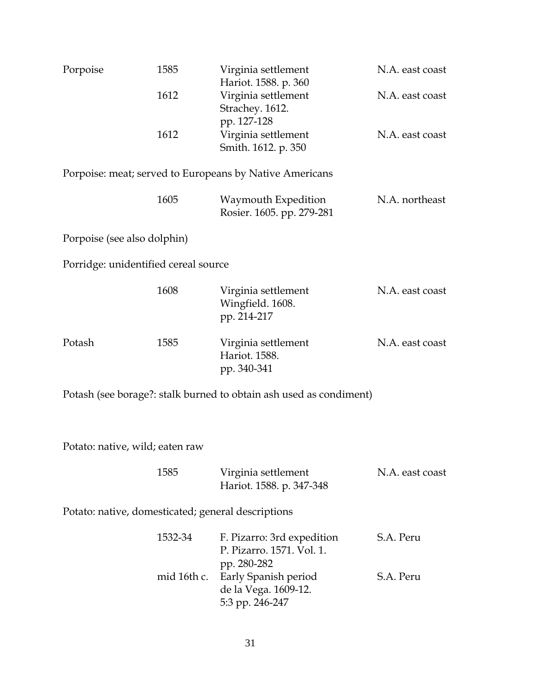| Porpoise                                           | 1585        | Virginia settlement<br>Hariot. 1588. p. 360                            | N.A. east coast |
|----------------------------------------------------|-------------|------------------------------------------------------------------------|-----------------|
|                                                    | 1612        | Virginia settlement<br>Strachey. 1612.<br>pp. 127-128                  | N.A. east coast |
|                                                    | 1612        | Virginia settlement<br>Smith. 1612. p. 350                             | N.A. east coast |
|                                                    |             | Porpoise: meat; served to Europeans by Native Americans                |                 |
|                                                    | 1605        | Waymouth Expedition<br>Rosier. 1605. pp. 279-281                       | N.A. northeast  |
| Porpoise (see also dolphin)                        |             |                                                                        |                 |
| Porridge: unidentified cereal source               |             |                                                                        |                 |
|                                                    | 1608        | Virginia settlement<br>Wingfield. 1608.<br>pp. 214-217                 | N.A. east coast |
| Potash                                             | 1585        | Virginia settlement<br>Hariot. 1588.<br>pp. 340-341                    | N.A. east coast |
|                                                    |             | Potash (see borage?: stalk burned to obtain ash used as condiment)     |                 |
| Potato: native, wild; eaten raw                    |             |                                                                        |                 |
|                                                    | 1585        | Virginia settlement<br>Hariot. 1588. p. 347-348                        | N.A. east coast |
| Potato: native, domesticated; general descriptions |             |                                                                        |                 |
|                                                    | 1532-34     | F. Pizarro: 3rd expedition<br>P. Pizarro. 1571. Vol. 1.<br>pp. 280-282 | S.A. Peru       |
|                                                    | mid 16th c. | Early Spanish period<br>de la Vega. 1609-12.<br>5:3 pp. 246-247        | S.A. Peru       |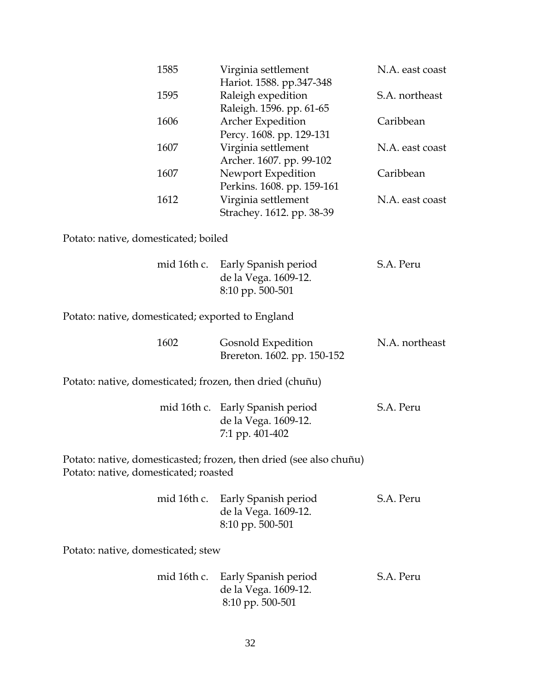|                                                   | 1585        | Virginia settlement<br>Hariot. 1588. pp.347-348                             | N.A. east coast |
|---------------------------------------------------|-------------|-----------------------------------------------------------------------------|-----------------|
|                                                   | 1595        | Raleigh expedition<br>Raleigh. 1596. pp. 61-65                              | S.A. northeast  |
|                                                   | 1606        | Archer Expedition                                                           | Caribbean       |
|                                                   | 1607        | Percy. 1608. pp. 129-131<br>Virginia settlement<br>Archer. 1607. pp. 99-102 | N.A. east coast |
|                                                   | 1607        | Newport Expedition<br>Perkins. 1608. pp. 159-161                            | Caribbean       |
|                                                   | 1612        | Virginia settlement<br>Strachey. 1612. pp. 38-39                            | N.A. east coast |
| Potato: native, domesticated; boiled              |             |                                                                             |                 |
|                                                   | mid 16th c. | Early Spanish period<br>de la Vega. 1609-12.<br>8:10 pp. 500-501            | S.A. Peru       |
| Potato: native, domesticated; exported to England |             |                                                                             |                 |
|                                                   | 1602        | Gosnold Expedition<br>Brereton. 1602. pp. 150-152                           | N.A. northeast  |
|                                                   |             | Potato: native, domesticated; frozen, then dried (chuñu)                    |                 |
|                                                   |             | mid 16th c. Early Spanish period<br>de la Vega. 1609-12.<br>7:1 pp. 401-402 | S.A. Peru       |
| Potato: native, domesticated; roasted             |             | Potato: native, domesticasted; frozen, then dried (see also chuñu)          |                 |
|                                                   | mid 16th c. | Early Spanish period<br>de la Vega. 1609-12.<br>8:10 pp. 500-501            | S.A. Peru       |
| Potato: native, domesticated; stew                |             |                                                                             |                 |
|                                                   | mid 16th c. | Early Spanish period<br>de la Vega. 1609-12.<br>8:10 pp. 500-501            | S.A. Peru       |
|                                                   |             |                                                                             |                 |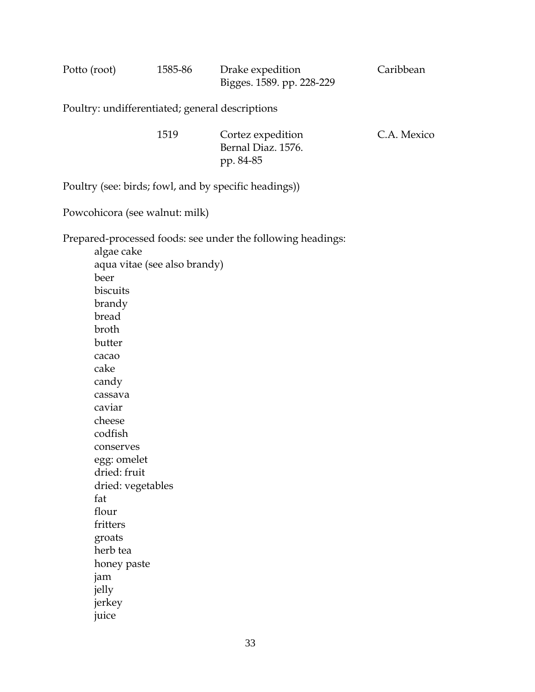| Potto (root) | 1585-86 | Drake expedition          | Caribbean |
|--------------|---------|---------------------------|-----------|
|              |         | Bigges. 1589. pp. 228-229 |           |

Poultry: undifferentiated; general descriptions

| 1519 | Cortez expedition  | C.A. Mexico |
|------|--------------------|-------------|
|      | Bernal Diaz. 1576. |             |
|      | pp. 84-85          |             |

Poultry (see: birds; fowl, and by specific headings))

Powcohicora (see walnut: milk)

Prepared-processed foods: see under the following headings:

 algae cake aqua vitae (see also brandy) beer biscuits brandy bread broth butter cacao cake candy cassava caviar cheese codfish conserves egg: omelet dried: fruit dried: vegetables fat flour fritters groats herb tea honey paste jam jelly jerkey juice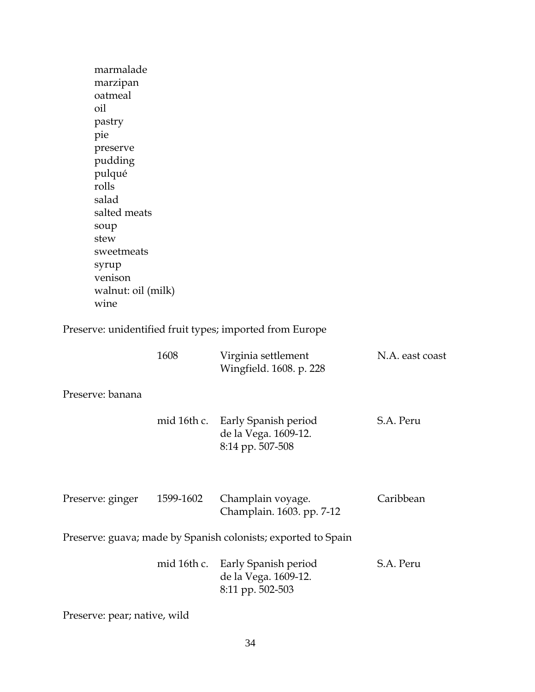| marmalade<br>marzipan<br>oatmeal<br>oil<br>pastry<br>pie<br>preserve<br>pudding<br>pulqué<br>rolls<br>salad<br>salted meats<br>soup<br>stew<br>sweetmeats<br>syrup<br>venison<br>walnut: oil (milk)<br>wine<br>1608<br>Virginia settlement<br>N.A. east coast<br>Wingfield. 1608. p. 228<br>S.A. Peru<br>mid 16th c.<br>Early Spanish period<br>de la Vega. 1609-12.<br>8:14 pp. 507-508<br>Caribbean<br>1599-1602<br>Champlain voyage.<br>Champlain. 1603. pp. 7-12 |  |
|----------------------------------------------------------------------------------------------------------------------------------------------------------------------------------------------------------------------------------------------------------------------------------------------------------------------------------------------------------------------------------------------------------------------------------------------------------------------|--|
|                                                                                                                                                                                                                                                                                                                                                                                                                                                                      |  |
| Preserve: unidentified fruit types; imported from Europe<br>Preserve: banana<br>Preserve: ginger                                                                                                                                                                                                                                                                                                                                                                     |  |
|                                                                                                                                                                                                                                                                                                                                                                                                                                                                      |  |
|                                                                                                                                                                                                                                                                                                                                                                                                                                                                      |  |
|                                                                                                                                                                                                                                                                                                                                                                                                                                                                      |  |
|                                                                                                                                                                                                                                                                                                                                                                                                                                                                      |  |
|                                                                                                                                                                                                                                                                                                                                                                                                                                                                      |  |
|                                                                                                                                                                                                                                                                                                                                                                                                                                                                      |  |
|                                                                                                                                                                                                                                                                                                                                                                                                                                                                      |  |
|                                                                                                                                                                                                                                                                                                                                                                                                                                                                      |  |
|                                                                                                                                                                                                                                                                                                                                                                                                                                                                      |  |
|                                                                                                                                                                                                                                                                                                                                                                                                                                                                      |  |
|                                                                                                                                                                                                                                                                                                                                                                                                                                                                      |  |
|                                                                                                                                                                                                                                                                                                                                                                                                                                                                      |  |
|                                                                                                                                                                                                                                                                                                                                                                                                                                                                      |  |
|                                                                                                                                                                                                                                                                                                                                                                                                                                                                      |  |
|                                                                                                                                                                                                                                                                                                                                                                                                                                                                      |  |
|                                                                                                                                                                                                                                                                                                                                                                                                                                                                      |  |
|                                                                                                                                                                                                                                                                                                                                                                                                                                                                      |  |
|                                                                                                                                                                                                                                                                                                                                                                                                                                                                      |  |
|                                                                                                                                                                                                                                                                                                                                                                                                                                                                      |  |
|                                                                                                                                                                                                                                                                                                                                                                                                                                                                      |  |
|                                                                                                                                                                                                                                                                                                                                                                                                                                                                      |  |
|                                                                                                                                                                                                                                                                                                                                                                                                                                                                      |  |
|                                                                                                                                                                                                                                                                                                                                                                                                                                                                      |  |
|                                                                                                                                                                                                                                                                                                                                                                                                                                                                      |  |
| Preserve: guava; made by Spanish colonists; exported to Spain                                                                                                                                                                                                                                                                                                                                                                                                        |  |
| mid 16th c.<br>S.A. Peru<br>Early Spanish period                                                                                                                                                                                                                                                                                                                                                                                                                     |  |
| de la Vega. 1609-12.<br>8:11 pp. 502-503                                                                                                                                                                                                                                                                                                                                                                                                                             |  |
|                                                                                                                                                                                                                                                                                                                                                                                                                                                                      |  |

Preserve: pear; native, wild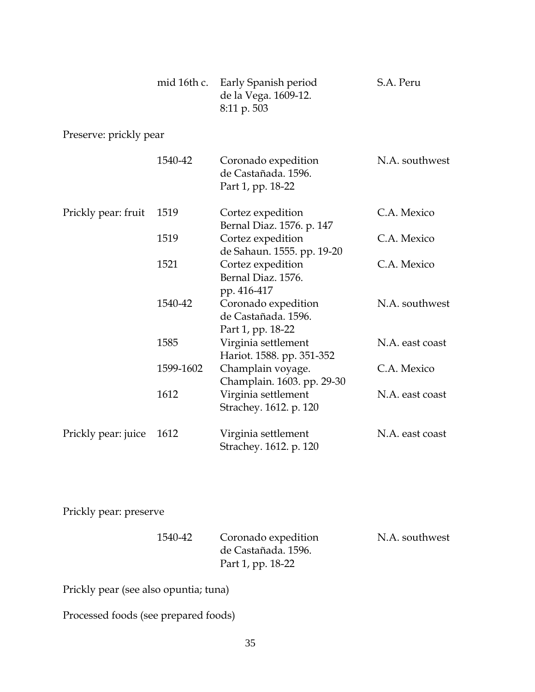|                        | mid 16th c. | Early Spanish period<br>de la Vega. 1609-12.<br>8:11 p. 503     | S.A. Peru       |
|------------------------|-------------|-----------------------------------------------------------------|-----------------|
| Preserve: prickly pear |             |                                                                 |                 |
|                        | 1540-42     | Coronado expedition<br>de Castañada. 1596.<br>Part 1, pp. 18-22 | N.A. southwest  |
| Prickly pear: fruit    | 1519        | Cortez expedition<br>Bernal Diaz. 1576. p. 147                  | C.A. Mexico     |
|                        | 1519        | Cortez expedition<br>de Sahaun. 1555. pp. 19-20                 | C.A. Mexico     |
|                        | 1521        | Cortez expedition<br>Bernal Diaz. 1576.<br>pp. 416-417          | C.A. Mexico     |
|                        | 1540-42     | Coronado expedition<br>de Castañada. 1596.<br>Part 1, pp. 18-22 | N.A. southwest  |
|                        | 1585        | Virginia settlement<br>Hariot. 1588. pp. 351-352                | N.A. east coast |
|                        | 1599-1602   | Champlain voyage.<br>Champlain. 1603. pp. 29-30                 | C.A. Mexico     |
|                        | 1612        | Virginia settlement<br>Strachey. 1612. p. 120                   | N.A. east coast |
| Prickly pear: juice    | 1612        | Virginia settlement<br>Strachey. 1612. p. 120                   | N.A. east coast |

Prickly pear: preserve

| 1540-42 | Coronado expedition | N.A. southwest |
|---------|---------------------|----------------|
|         | de Castañada. 1596. |                |
|         | Part 1, pp. 18-22   |                |

Prickly pear (see also opuntia; tuna)

Processed foods (see prepared foods)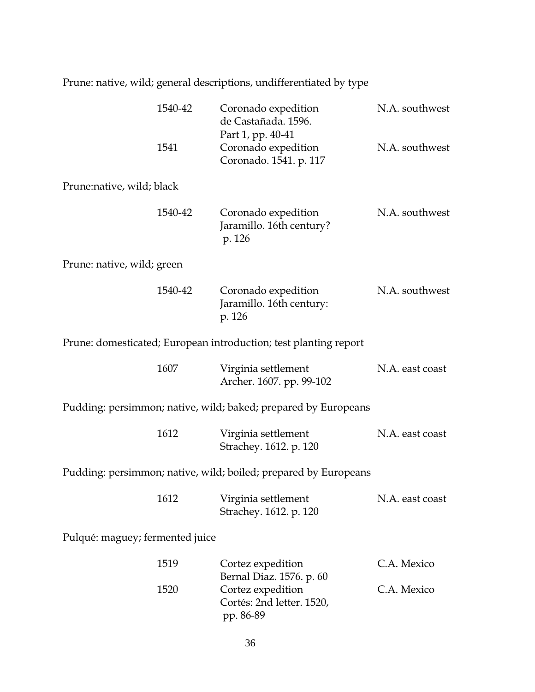Prune: native, wild; general descriptions, undifferentiated by type

|                                 | 1540-42 | Coronado expedition<br>de Castañada. 1596.                         | N.A. southwest  |
|---------------------------------|---------|--------------------------------------------------------------------|-----------------|
|                                 | 1541    | Part 1, pp. 40-41<br>Coronado expedition<br>Coronado. 1541. p. 117 | N.A. southwest  |
| Prune:native, wild; black       |         |                                                                    |                 |
|                                 | 1540-42 | Coronado expedition<br>Jaramillo. 16th century?<br>p. 126          | N.A. southwest  |
| Prune: native, wild; green      |         |                                                                    |                 |
|                                 | 1540-42 | Coronado expedition<br>Jaramillo. 16th century:<br>p. 126          | N.A. southwest  |
|                                 |         | Prune: domesticated; European introduction; test planting report   |                 |
|                                 | 1607    | Virginia settlement<br>Archer. 1607. pp. 99-102                    | N.A. east coast |
|                                 |         | Pudding: persimmon; native, wild; baked; prepared by Europeans     |                 |
|                                 | 1612    | Virginia settlement<br>Strachey. 1612. p. 120                      | N.A. east coast |
|                                 |         | Pudding: persimmon; native, wild; boiled; prepared by Europeans    |                 |
|                                 | 1612    | Virginia settlement<br>Strachey. 1612. p. 120                      | N.A. east coast |
| Pulqué: maguey; fermented juice |         |                                                                    |                 |
|                                 | 1519    | Cortez expedition<br>Bernal Diaz. 1576. p. 60                      | C.A. Mexico     |
|                                 | 1520    | Cortez expedition<br>Cortés: 2nd letter. 1520,<br>pp. 86-89        | C.A. Mexico     |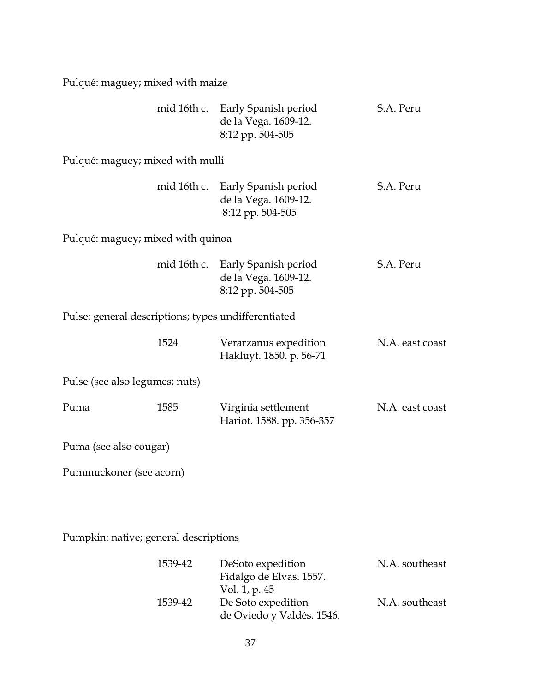Pulqué: maguey; mixed with maize

|                                                     |      | mid 16th c. Early Spanish period<br>de la Vega. 1609-12.<br>8:12 pp. 504-505 | S.A. Peru       |
|-----------------------------------------------------|------|------------------------------------------------------------------------------|-----------------|
| Pulqué: maguey; mixed with mulli                    |      |                                                                              |                 |
|                                                     |      | mid 16th c. Early Spanish period<br>de la Vega. 1609-12.<br>8:12 pp. 504-505 | S.A. Peru       |
| Pulqué: maguey; mixed with quinoa                   |      |                                                                              |                 |
|                                                     |      | mid 16th c. Early Spanish period<br>de la Vega. 1609-12.<br>8:12 pp. 504-505 | S.A. Peru       |
| Pulse: general descriptions; types undifferentiated |      |                                                                              |                 |
|                                                     | 1524 | Verarzanus expedition<br>Hakluyt. 1850. p. 56-71                             | N.A. east coast |
| Pulse (see also legumes; nuts)                      |      |                                                                              |                 |
| Puma                                                | 1585 | Virginia settlement<br>Hariot. 1588. pp. 356-357                             | N.A. east coast |
| Puma (see also cougar)                              |      |                                                                              |                 |
| Pummuckoner (see acorn)                             |      |                                                                              |                 |

Pumpkin: native; general descriptions

| 1539-42 | DeSoto expedition         | N.A. southeast |
|---------|---------------------------|----------------|
|         | Fidalgo de Elvas. 1557.   |                |
|         | Vol. 1, p. 45             |                |
| 1539-42 | De Soto expedition        | N.A. southeast |
|         | de Oviedo y Valdés. 1546. |                |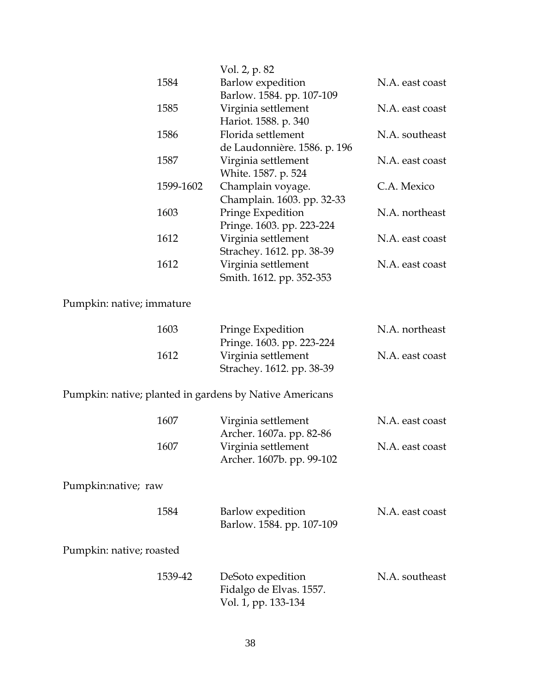|                                                         | Vol. 2, p. 82                                    |                 |
|---------------------------------------------------------|--------------------------------------------------|-----------------|
| 1584                                                    | <b>Barlow</b> expedition                         | N.A. east coast |
|                                                         | Barlow. 1584. pp. 107-109                        |                 |
| 1585                                                    | Virginia settlement                              | N.A. east coast |
|                                                         | Hariot. 1588. p. 340                             |                 |
| 1586                                                    | Florida settlement                               | N.A. southeast  |
|                                                         | de Laudonnière. 1586. p. 196                     |                 |
| 1587                                                    | Virginia settlement                              | N.A. east coast |
|                                                         | White. 1587. p. 524                              |                 |
| 1599-1602                                               | Champlain voyage.                                | C.A. Mexico     |
|                                                         | Champlain. 1603. pp. 32-33                       |                 |
| 1603                                                    | Pringe Expedition                                | N.A. northeast  |
|                                                         | Pringe. 1603. pp. 223-224                        |                 |
| 1612                                                    | Virginia settlement<br>Strachey. 1612. pp. 38-39 | N.A. east coast |
| 1612                                                    | Virginia settlement                              | N.A. east coast |
|                                                         | Smith. 1612. pp. 352-353                         |                 |
|                                                         |                                                  |                 |
| Pumpkin: native; immature                               |                                                  |                 |
|                                                         |                                                  |                 |
| 1603                                                    | Pringe Expedition                                | N.A. northeast  |
|                                                         | Pringe. 1603. pp. 223-224                        |                 |
| 1612                                                    | Virginia settlement                              | N.A. east coast |
|                                                         | Strachey. 1612. pp. 38-39                        |                 |
| Pumpkin: native; planted in gardens by Native Americans |                                                  |                 |
|                                                         |                                                  |                 |
| 1607                                                    | Virginia settlement                              | N.A. east coast |
|                                                         | Archer. 1607a. pp. 82-86                         |                 |
| 1607                                                    | Virginia settlement                              | N.A. east coast |
|                                                         | Archer. 1607b. pp. 99-102                        |                 |
|                                                         |                                                  |                 |
| Pumpkin:native; raw                                     |                                                  |                 |
|                                                         |                                                  |                 |
| 1584                                                    | Barlow expedition                                | N.A. east coast |
|                                                         | Barlow. 1584. pp. 107-109                        |                 |
| Pumpkin: native; roasted                                |                                                  |                 |
|                                                         |                                                  |                 |
| 1539-42                                                 | DeSoto expedition                                | N.A. southeast  |
|                                                         | Fidalgo de Elvas. 1557.                          |                 |
|                                                         | Vol. 1, pp. 133-134                              |                 |
|                                                         |                                                  |                 |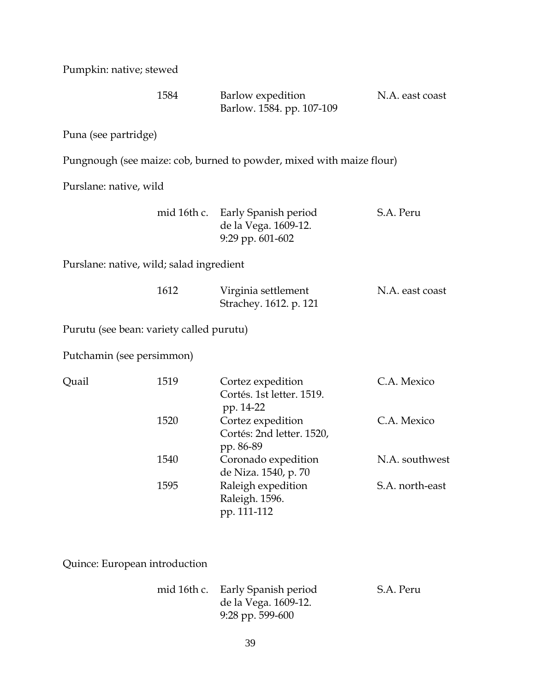Pumpkin: native; stewed

|                                          | 1584 | Barlow expedition<br>Barlow. 1584. pp. 107-109                               | N.A. east coast |
|------------------------------------------|------|------------------------------------------------------------------------------|-----------------|
| Puna (see partridge)                     |      |                                                                              |                 |
|                                          |      | Pungnough (see maize: cob, burned to powder, mixed with maize flour)         |                 |
| Purslane: native, wild                   |      |                                                                              |                 |
|                                          |      | mid 16th c. Early Spanish period<br>de la Vega. 1609-12.<br>9:29 pp. 601-602 | S.A. Peru       |
| Purslane: native, wild; salad ingredient |      |                                                                              |                 |
|                                          | 1612 | Virginia settlement<br>Strachey. 1612. p. 121                                | N.A. east coast |
| Purutu (see bean: variety called purutu) |      |                                                                              |                 |
| Putchamin (see persimmon)                |      |                                                                              |                 |
| Quail                                    | 1519 | Cortez expedition<br>Cortés. 1st letter. 1519.                               | C.A. Mexico     |
|                                          | 1520 | pp. 14-22<br>Cortez expedition<br>Cortés: 2nd letter. 1520,<br>pp. 86-89     | C.A. Mexico     |
|                                          | 1540 | Coronado expedition<br>de Niza. 1540, p. 70                                  | N.A. southwest  |
|                                          | 1595 | Raleigh expedition<br>Raleigh. 1596.<br>pp. 111-112                          | S.A. north-east |
|                                          |      |                                                                              |                 |

Quince: European introduction

| mid 16th c. Early Spanish period | S.A. Peru |
|----------------------------------|-----------|
| de la Vega. 1609-12.             |           |
| 9:28 pp. 599-600                 |           |